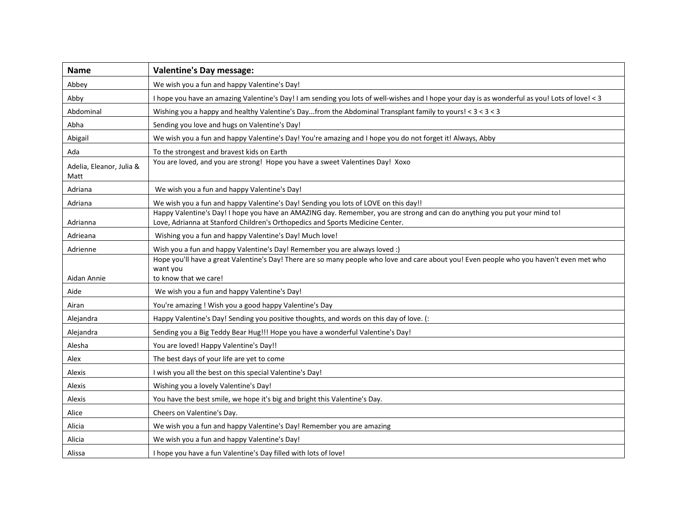| <b>Name</b>                      | <b>Valentine's Day message:</b>                                                                                                                                                                            |
|----------------------------------|------------------------------------------------------------------------------------------------------------------------------------------------------------------------------------------------------------|
| Abbey                            | We wish you a fun and happy Valentine's Day!                                                                                                                                                               |
| Abby                             | I hope you have an amazing Valentine's Day! I am sending you lots of well-wishes and I hope your day is as wonderful as you! Lots of love! < 3                                                             |
| Abdominal                        | Wishing you a happy and healthy Valentine's Dayfrom the Abdominal Transplant family to yours! < 3 < 3 < 3                                                                                                  |
| Abha                             | Sending you love and hugs on Valentine's Day!                                                                                                                                                              |
| Abigail                          | We wish you a fun and happy Valentine's Day! You're amazing and I hope you do not forget it! Always, Abby                                                                                                  |
| Ada                              | To the strongest and bravest kids on Earth                                                                                                                                                                 |
| Adelia, Eleanor, Julia &<br>Matt | You are loved, and you are strong! Hope you have a sweet Valentines Day! Xoxo                                                                                                                              |
| Adriana                          | We wish you a fun and happy Valentine's Day!                                                                                                                                                               |
| Adriana                          | We wish you a fun and happy Valentine's Day! Sending you lots of LOVE on this day!!                                                                                                                        |
| Adrianna                         | Happy Valentine's Day! I hope you have an AMAZING day. Remember, you are strong and can do anything you put your mind to!<br>Love, Adrianna at Stanford Children's Orthopedics and Sports Medicine Center. |
| Adrieana                         | Wishing you a fun and happy Valentine's Day! Much love!                                                                                                                                                    |
| Adrienne                         | Wish you a fun and happy Valentine's Day! Remember you are always loved :)                                                                                                                                 |
| Aidan Annie                      | Hope you'll have a great Valentine's Day! There are so many people who love and care about you! Even people who you haven't even met who<br>want you<br>to know that we care!                              |
| Aide                             | We wish you a fun and happy Valentine's Day!                                                                                                                                                               |
| Airan                            | You're amazing ! Wish you a good happy Valentine's Day                                                                                                                                                     |
| Alejandra                        | Happy Valentine's Day! Sending you positive thoughts, and words on this day of love. (:                                                                                                                    |
| Alejandra                        | Sending you a Big Teddy Bear Hug!!! Hope you have a wonderful Valentine's Day!                                                                                                                             |
| Alesha                           | You are loved! Happy Valentine's Day!!                                                                                                                                                                     |
| Alex                             | The best days of your life are yet to come                                                                                                                                                                 |
| Alexis                           | I wish you all the best on this special Valentine's Day!                                                                                                                                                   |
| Alexis                           | Wishing you a lovely Valentine's Day!                                                                                                                                                                      |
| Alexis                           | You have the best smile, we hope it's big and bright this Valentine's Day.                                                                                                                                 |
| Alice                            | Cheers on Valentine's Day.                                                                                                                                                                                 |
| Alicia                           | We wish you a fun and happy Valentine's Day! Remember you are amazing                                                                                                                                      |
| Alicia                           | We wish you a fun and happy Valentine's Day!                                                                                                                                                               |
| Alissa                           | I hope you have a fun Valentine's Day filled with lots of love!                                                                                                                                            |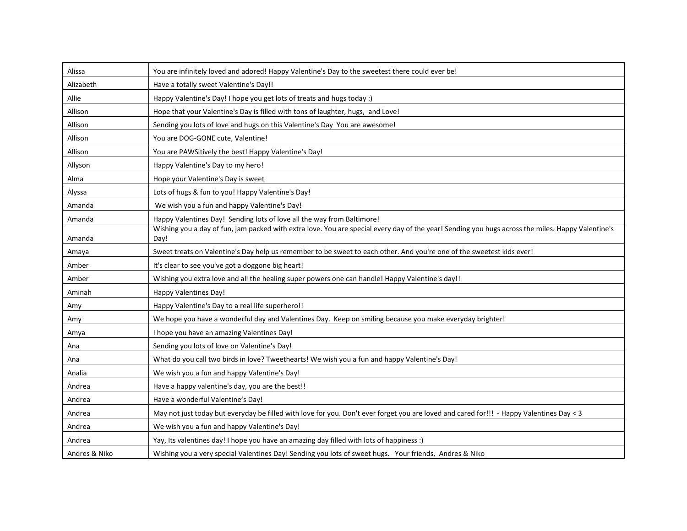| Alissa        | You are infinitely loved and adored! Happy Valentine's Day to the sweetest there could ever be!                                                   |
|---------------|---------------------------------------------------------------------------------------------------------------------------------------------------|
| Alizabeth     | Have a totally sweet Valentine's Day!!                                                                                                            |
| Allie         | Happy Valentine's Day! I hope you get lots of treats and hugs today :)                                                                            |
| Allison       | Hope that your Valentine's Day is filled with tons of laughter, hugs, and Love!                                                                   |
| Allison       | Sending you lots of love and hugs on this Valentine's Day You are awesome!                                                                        |
| Allison       | You are DOG-GONE cute, Valentine!                                                                                                                 |
| Allison       | You are PAWSitively the best! Happy Valentine's Day!                                                                                              |
| Allyson       | Happy Valentine's Day to my hero!                                                                                                                 |
| Alma          | Hope your Valentine's Day is sweet                                                                                                                |
| Alyssa        | Lots of hugs & fun to you! Happy Valentine's Day!                                                                                                 |
| Amanda        | We wish you a fun and happy Valentine's Day!                                                                                                      |
| Amanda        | Happy Valentines Day! Sending lots of love all the way from Baltimore!                                                                            |
|               | Wishing you a day of fun, jam packed with extra love. You are special every day of the year! Sending you hugs across the miles. Happy Valentine's |
| Amanda        | Day!                                                                                                                                              |
| Amaya         | Sweet treats on Valentine's Day help us remember to be sweet to each other. And you're one of the sweetest kids ever!                             |
| Amber         | It's clear to see you've got a doggone big heart!                                                                                                 |
| Amber         | Wishing you extra love and all the healing super powers one can handle! Happy Valentine's day!!                                                   |
| Aminah        | Happy Valentines Day!                                                                                                                             |
| Amy           | Happy Valentine's Day to a real life superhero!!                                                                                                  |
| Amy           | We hope you have a wonderful day and Valentines Day. Keep on smiling because you make everyday brighter!                                          |
| Amya          | I hope you have an amazing Valentines Day!                                                                                                        |
| Ana           | Sending you lots of love on Valentine's Day!                                                                                                      |
| Ana           | What do you call two birds in love? Tweethearts! We wish you a fun and happy Valentine's Day!                                                     |
| Analia        | We wish you a fun and happy Valentine's Day!                                                                                                      |
| Andrea        | Have a happy valentine's day, you are the best!!                                                                                                  |
| Andrea        | Have a wonderful Valentine's Day!                                                                                                                 |
| Andrea        | May not just today but everyday be filled with love for you. Don't ever forget you are loved and cared for!!! - Happy Valentines Day < 3          |
| Andrea        | We wish you a fun and happy Valentine's Day!                                                                                                      |
| Andrea        | Yay, Its valentines day! I hope you have an amazing day filled with lots of happiness :)                                                          |
| Andres & Niko | Wishing you a very special Valentines Day! Sending you lots of sweet hugs. Your friends, Andres & Niko                                            |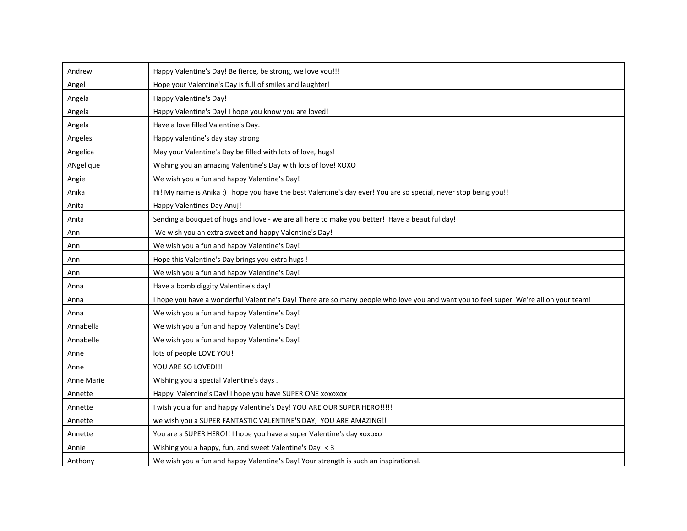| Andrew     | Happy Valentine's Day! Be fierce, be strong, we love you!!!                                                                            |
|------------|----------------------------------------------------------------------------------------------------------------------------------------|
| Angel      | Hope your Valentine's Day is full of smiles and laughter!                                                                              |
| Angela     | Happy Valentine's Day!                                                                                                                 |
| Angela     | Happy Valentine's Day! I hope you know you are loved!                                                                                  |
| Angela     | Have a love filled Valentine's Day.                                                                                                    |
| Angeles    | Happy valentine's day stay strong                                                                                                      |
| Angelica   | May your Valentine's Day be filled with lots of love, hugs!                                                                            |
| ANgelique  | Wishing you an amazing Valentine's Day with lots of love! XOXO                                                                         |
| Angie      | We wish you a fun and happy Valentine's Day!                                                                                           |
| Anika      | Hi! My name is Anika :) I hope you have the best Valentine's day ever! You are so special, never stop being you!!                      |
| Anita      | Happy Valentines Day Anuj!                                                                                                             |
| Anita      | Sending a bouquet of hugs and love - we are all here to make you better! Have a beautiful day!                                         |
| Ann        | We wish you an extra sweet and happy Valentine's Day!                                                                                  |
| Ann        | We wish you a fun and happy Valentine's Day!                                                                                           |
| Ann        | Hope this Valentine's Day brings you extra hugs !                                                                                      |
| Ann        | We wish you a fun and happy Valentine's Day!                                                                                           |
| Anna       | Have a bomb diggity Valentine's day!                                                                                                   |
| Anna       | I hope you have a wonderful Valentine's Day! There are so many people who love you and want you to feel super. We're all on your team! |
| Anna       | We wish you a fun and happy Valentine's Day!                                                                                           |
| Annabella  | We wish you a fun and happy Valentine's Day!                                                                                           |
| Annabelle  | We wish you a fun and happy Valentine's Day!                                                                                           |
| Anne       | lots of people LOVE YOU!                                                                                                               |
| Anne       | YOU ARE SO LOVED!!!                                                                                                                    |
| Anne Marie | Wishing you a special Valentine's days.                                                                                                |
| Annette    | Happy Valentine's Day! I hope you have SUPER ONE xoxoxox                                                                               |
| Annette    | I wish you a fun and happy Valentine's Day! YOU ARE OUR SUPER HERO !!!!!                                                               |
| Annette    | we wish you a SUPER FANTASTIC VALENTINE'S DAY, YOU ARE AMAZING!!                                                                       |
| Annette    | You are a SUPER HERO!! I hope you have a super Valentine's day xoxoxo                                                                  |
| Annie      | Wishing you a happy, fun, and sweet Valentine's Day! < 3                                                                               |
| Anthony    | We wish you a fun and happy Valentine's Day! Your strength is such an inspirational.                                                   |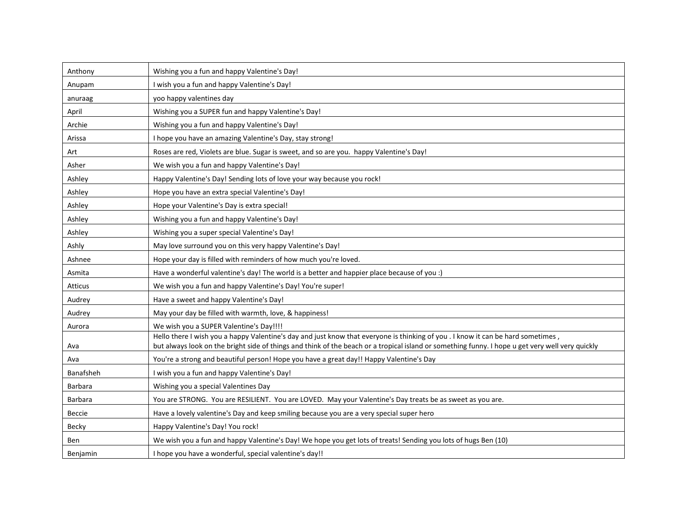| Anthony          | Wishing you a fun and happy Valentine's Day!                                                                                                                                                                                                                                         |
|------------------|--------------------------------------------------------------------------------------------------------------------------------------------------------------------------------------------------------------------------------------------------------------------------------------|
| Anupam           | I wish you a fun and happy Valentine's Day!                                                                                                                                                                                                                                          |
| anuraag          | yoo happy valentines day                                                                                                                                                                                                                                                             |
| April            | Wishing you a SUPER fun and happy Valentine's Day!                                                                                                                                                                                                                                   |
| Archie           | Wishing you a fun and happy Valentine's Day!                                                                                                                                                                                                                                         |
| Arissa           | I hope you have an amazing Valentine's Day, stay strong!                                                                                                                                                                                                                             |
| Art              | Roses are red, Violets are blue. Sugar is sweet, and so are you. happy Valentine's Day!                                                                                                                                                                                              |
| Asher            | We wish you a fun and happy Valentine's Day!                                                                                                                                                                                                                                         |
| Ashley           | Happy Valentine's Day! Sending lots of love your way because you rock!                                                                                                                                                                                                               |
| Ashley           | Hope you have an extra special Valentine's Day!                                                                                                                                                                                                                                      |
| Ashley           | Hope your Valentine's Day is extra special!                                                                                                                                                                                                                                          |
| Ashley           | Wishing you a fun and happy Valentine's Day!                                                                                                                                                                                                                                         |
| Ashley           | Wishing you a super special Valentine's Day!                                                                                                                                                                                                                                         |
| Ashly            | May love surround you on this very happy Valentine's Day!                                                                                                                                                                                                                            |
| Ashnee           | Hope your day is filled with reminders of how much you're loved.                                                                                                                                                                                                                     |
| Asmita           | Have a wonderful valentine's day! The world is a better and happier place because of you :)                                                                                                                                                                                          |
| Atticus          | We wish you a fun and happy Valentine's Day! You're super!                                                                                                                                                                                                                           |
| Audrey           | Have a sweet and happy Valentine's Day!                                                                                                                                                                                                                                              |
| Audrey           | May your day be filled with warmth, love, & happiness!                                                                                                                                                                                                                               |
| Aurora           | We wish you a SUPER Valentine's Day!!!!                                                                                                                                                                                                                                              |
| Ava              | Hello there I wish you a happy Valentine's day and just know that everyone is thinking of you . I know it can be hard sometimes,<br>but always look on the bright side of things and think of the beach or a tropical island or something funny. I hope u get very well very quickly |
| Ava              | You're a strong and beautiful person! Hope you have a great day!! Happy Valentine's Day                                                                                                                                                                                              |
| <b>Banafsheh</b> | I wish you a fun and happy Valentine's Day!                                                                                                                                                                                                                                          |
| <b>Barbara</b>   | Wishing you a special Valentines Day                                                                                                                                                                                                                                                 |
| Barbara          | You are STRONG. You are RESILIENT. You are LOVED. May your Valentine's Day treats be as sweet as you are.                                                                                                                                                                            |
| Beccie           | Have a lovely valentine's Day and keep smiling because you are a very special super hero                                                                                                                                                                                             |
| Becky            | Happy Valentine's Day! You rock!                                                                                                                                                                                                                                                     |
| Ben              | We wish you a fun and happy Valentine's Day! We hope you get lots of treats! Sending you lots of hugs Ben (10)                                                                                                                                                                       |
| Benjamin         | I hope you have a wonderful, special valentine's day!!                                                                                                                                                                                                                               |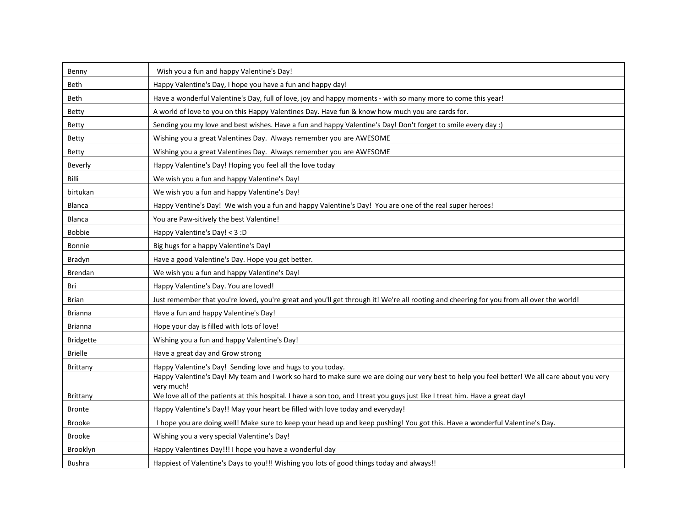| Benny            | Wish you a fun and happy Valentine's Day!                                                                                                     |
|------------------|-----------------------------------------------------------------------------------------------------------------------------------------------|
| <b>Beth</b>      | Happy Valentine's Day, I hope you have a fun and happy day!                                                                                   |
| Beth             | Have a wonderful Valentine's Day, full of love, joy and happy moments - with so many more to come this year!                                  |
| Betty            | A world of love to you on this Happy Valentines Day. Have fun & know how much you are cards for.                                              |
| Betty            | Sending you my love and best wishes. Have a fun and happy Valentine's Day! Don't forget to smile every day :)                                 |
| <b>Betty</b>     | Wishing you a great Valentines Day. Always remember you are AWESOME                                                                           |
| <b>Betty</b>     | Wishing you a great Valentines Day. Always remember you are AWESOME                                                                           |
| Beverly          | Happy Valentine's Day! Hoping you feel all the love today                                                                                     |
| Billi            | We wish you a fun and happy Valentine's Day!                                                                                                  |
| birtukan         | We wish you a fun and happy Valentine's Day!                                                                                                  |
| Blanca           | Happy Ventine's Day! We wish you a fun and happy Valentine's Day! You are one of the real super heroes!                                       |
| <b>Blanca</b>    | You are Paw-sitively the best Valentine!                                                                                                      |
| <b>Bobbie</b>    | Happy Valentine's Day! < 3:D                                                                                                                  |
| <b>Bonnie</b>    | Big hugs for a happy Valentine's Day!                                                                                                         |
| Bradyn           | Have a good Valentine's Day. Hope you get better.                                                                                             |
| Brendan          | We wish you a fun and happy Valentine's Day!                                                                                                  |
| Bri              | Happy Valentine's Day. You are loved!                                                                                                         |
| Brian            | Just remember that you're loved, you're great and you'll get through it! We're all rooting and cheering for you from all over the world!      |
| <b>Brianna</b>   | Have a fun and happy Valentine's Day!                                                                                                         |
| <b>Brianna</b>   | Hope your day is filled with lots of love!                                                                                                    |
| <b>Bridgette</b> | Wishing you a fun and happy Valentine's Day!                                                                                                  |
| <b>Brielle</b>   | Have a great day and Grow strong                                                                                                              |
| Brittany         | Happy Valentine's Day! Sending love and hugs to you today.                                                                                    |
|                  | Happy Valentine's Day! My team and I work so hard to make sure we are doing our very best to help you feel better! We all care about you very |
| Brittany         | very much!<br>We love all of the patients at this hospital. I have a son too, and I treat you guys just like I treat him. Have a great day!   |
| <b>Bronte</b>    | Happy Valentine's Day!! May your heart be filled with love today and everyday!                                                                |
| <b>Brooke</b>    | I hope you are doing well! Make sure to keep your head up and keep pushing! You got this. Have a wonderful Valentine's Day.                   |
| <b>Brooke</b>    | Wishing you a very special Valentine's Day!                                                                                                   |
| <b>Brooklyn</b>  | Happy Valentines Day!!! I hope you have a wonderful day                                                                                       |
| <b>Bushra</b>    | Happiest of Valentine's Days to you!!! Wishing you lots of good things today and always!!                                                     |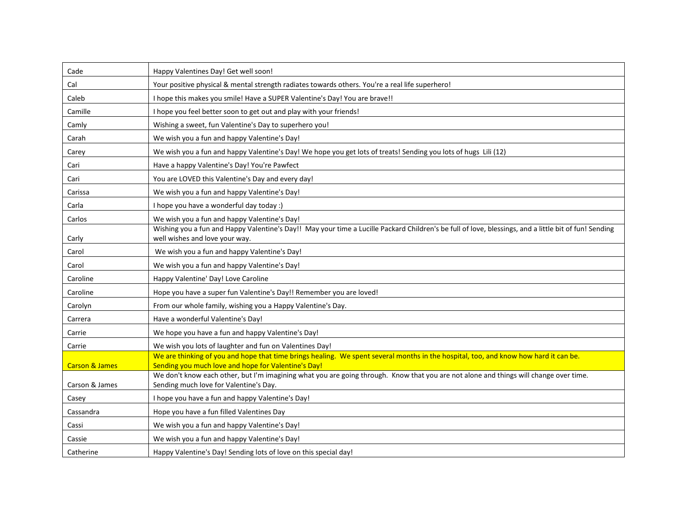| Cade                      | Happy Valentines Day! Get well soon!                                                                                                                                                        |
|---------------------------|---------------------------------------------------------------------------------------------------------------------------------------------------------------------------------------------|
| Cal                       | Your positive physical & mental strength radiates towards others. You're a real life superhero!                                                                                             |
| Caleb                     | I hope this makes you smile! Have a SUPER Valentine's Day! You are brave!!                                                                                                                  |
| Camille                   | I hope you feel better soon to get out and play with your friends!                                                                                                                          |
| Camly                     | Wishing a sweet, fun Valentine's Day to superhero you!                                                                                                                                      |
| Carah                     | We wish you a fun and happy Valentine's Day!                                                                                                                                                |
| Carey                     | We wish you a fun and happy Valentine's Day! We hope you get lots of treats! Sending you lots of hugs Lili (12)                                                                             |
| Cari                      | Have a happy Valentine's Day! You're Pawfect                                                                                                                                                |
| Cari                      | You are LOVED this Valentine's Day and every day!                                                                                                                                           |
| Carissa                   | We wish you a fun and happy Valentine's Day!                                                                                                                                                |
| Carla                     | I hope you have a wonderful day today :)                                                                                                                                                    |
| Carlos                    | We wish you a fun and happy Valentine's Day!                                                                                                                                                |
| Carly                     | Wishing you a fun and Happy Valentine's Day!! May your time a Lucille Packard Children's be full of love, blessings, and a little bit of fun! Sending<br>well wishes and love your way.     |
| Carol                     | We wish you a fun and happy Valentine's Day!                                                                                                                                                |
| Carol                     | We wish you a fun and happy Valentine's Day!                                                                                                                                                |
| Caroline                  | Happy Valentine' Day! Love Caroline                                                                                                                                                         |
| Caroline                  | Hope you have a super fun Valentine's Day!! Remember you are loved!                                                                                                                         |
| Carolyn                   | From our whole family, wishing you a Happy Valentine's Day.                                                                                                                                 |
| Carrera                   | Have a wonderful Valentine's Day!                                                                                                                                                           |
| Carrie                    | We hope you have a fun and happy Valentine's Day!                                                                                                                                           |
| Carrie                    | We wish you lots of laughter and fun on Valentines Day!                                                                                                                                     |
| <b>Carson &amp; James</b> | We are thinking of you and hope that time brings healing. We spent several months in the hospital, too, and know how hard it can be.<br>Sending you much love and hope for Valentine's Day! |
|                           | We don't know each other, but I'm imagining what you are going through. Know that you are not alone and things will change over time.                                                       |
| Carson & James            | Sending much love for Valentine's Day.                                                                                                                                                      |
| Casey                     | I hope you have a fun and happy Valentine's Day!                                                                                                                                            |
| Cassandra                 | Hope you have a fun filled Valentines Day                                                                                                                                                   |
| Cassi                     | We wish you a fun and happy Valentine's Day!                                                                                                                                                |
| Cassie                    | We wish you a fun and happy Valentine's Day!                                                                                                                                                |
| Catherine                 | Happy Valentine's Day! Sending lots of love on this special day!                                                                                                                            |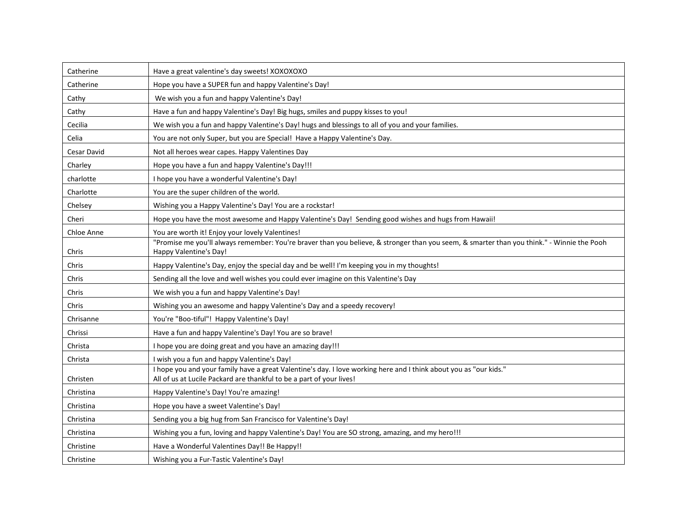| Catherine   | Have a great valentine's day sweets! XOXOXOXO                                                                                                                                             |
|-------------|-------------------------------------------------------------------------------------------------------------------------------------------------------------------------------------------|
| Catherine   | Hope you have a SUPER fun and happy Valentine's Day!                                                                                                                                      |
| Cathy       | We wish you a fun and happy Valentine's Day!                                                                                                                                              |
| Cathy       | Have a fun and happy Valentine's Day! Big hugs, smiles and puppy kisses to you!                                                                                                           |
| Cecilia     | We wish you a fun and happy Valentine's Day! hugs and blessings to all of you and your families.                                                                                          |
| Celia       | You are not only Super, but you are Special! Have a Happy Valentine's Day.                                                                                                                |
| Cesar David | Not all heroes wear capes. Happy Valentines Day                                                                                                                                           |
| Charley     | Hope you have a fun and happy Valentine's Day!!!                                                                                                                                          |
| charlotte   | I hope you have a wonderful Valentine's Day!                                                                                                                                              |
| Charlotte   | You are the super children of the world.                                                                                                                                                  |
| Chelsey     | Wishing you a Happy Valentine's Day! You are a rockstar!                                                                                                                                  |
| Cheri       | Hope you have the most awesome and Happy Valentine's Day! Sending good wishes and hugs from Hawaii!                                                                                       |
| Chloe Anne  | You are worth it! Enjoy your lovely Valentines!                                                                                                                                           |
| Chris       | "Promise me you'll always remember: You're braver than you believe, & stronger than you seem, & smarter than you think." - Winnie the Pooh<br>Happy Valentine's Day!                      |
| Chris       | Happy Valentine's Day, enjoy the special day and be well! I'm keeping you in my thoughts!                                                                                                 |
| Chris       | Sending all the love and well wishes you could ever imagine on this Valentine's Day                                                                                                       |
| Chris       | We wish you a fun and happy Valentine's Day!                                                                                                                                              |
| Chris       | Wishing you an awesome and happy Valentine's Day and a speedy recovery!                                                                                                                   |
| Chrisanne   | You're "Boo-tiful"! Happy Valentine's Day!                                                                                                                                                |
| Chrissi     | Have a fun and happy Valentine's Day! You are so brave!                                                                                                                                   |
| Christa     | I hope you are doing great and you have an amazing day!!!                                                                                                                                 |
| Christa     | I wish you a fun and happy Valentine's Day!                                                                                                                                               |
| Christen    | I hope you and your family have a great Valentine's day. I love working here and I think about you as "our kids."<br>All of us at Lucile Packard are thankful to be a part of your lives! |
| Christina   | Happy Valentine's Day! You're amazing!                                                                                                                                                    |
| Christina   | Hope you have a sweet Valentine's Day!                                                                                                                                                    |
| Christina   | Sending you a big hug from San Francisco for Valentine's Day!                                                                                                                             |
| Christina   | Wishing you a fun, loving and happy Valentine's Day! You are SO strong, amazing, and my hero!!!                                                                                           |
| Christine   | Have a Wonderful Valentines Day!! Be Happy!!                                                                                                                                              |
| Christine   | Wishing you a Fur-Tastic Valentine's Day!                                                                                                                                                 |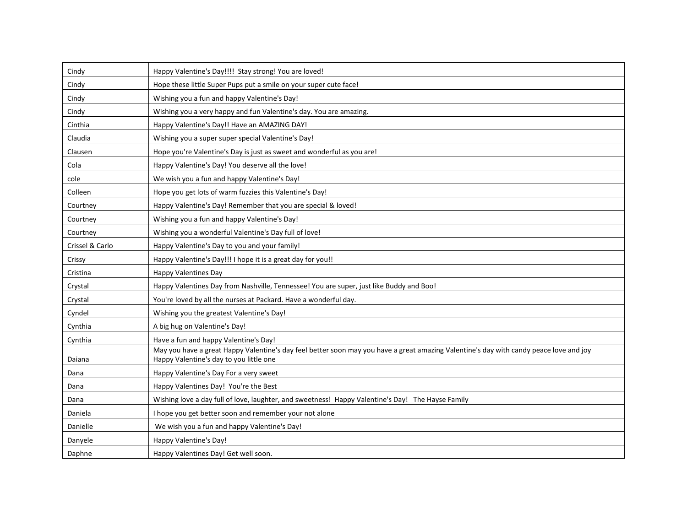| Cindy           | Happy Valentine's Day!!!! Stay strong! You are loved!                                                                                                                             |
|-----------------|-----------------------------------------------------------------------------------------------------------------------------------------------------------------------------------|
| Cindy           | Hope these little Super Pups put a smile on your super cute face!                                                                                                                 |
| Cindy           | Wishing you a fun and happy Valentine's Day!                                                                                                                                      |
| Cindy           | Wishing you a very happy and fun Valentine's day. You are amazing.                                                                                                                |
| Cinthia         | Happy Valentine's Day!! Have an AMAZING DAY!                                                                                                                                      |
| Claudia         | Wishing you a super super special Valentine's Day!                                                                                                                                |
| Clausen         | Hope you're Valentine's Day is just as sweet and wonderful as you are!                                                                                                            |
| Cola            | Happy Valentine's Day! You deserve all the love!                                                                                                                                  |
| cole            | We wish you a fun and happy Valentine's Day!                                                                                                                                      |
| Colleen         | Hope you get lots of warm fuzzies this Valentine's Day!                                                                                                                           |
| Courtney        | Happy Valentine's Day! Remember that you are special & loved!                                                                                                                     |
| Courtney        | Wishing you a fun and happy Valentine's Day!                                                                                                                                      |
| Courtney        | Wishing you a wonderful Valentine's Day full of love!                                                                                                                             |
| Crissel & Carlo | Happy Valentine's Day to you and your family!                                                                                                                                     |
| Crissy          | Happy Valentine's Day!!! I hope it is a great day for you!!                                                                                                                       |
| Cristina        | Happy Valentines Day                                                                                                                                                              |
| Crystal         | Happy Valentines Day from Nashville, Tennessee! You are super, just like Buddy and Boo!                                                                                           |
| Crystal         | You're loved by all the nurses at Packard. Have a wonderful day.                                                                                                                  |
| Cyndel          | Wishing you the greatest Valentine's Day!                                                                                                                                         |
| Cynthia         | A big hug on Valentine's Day!                                                                                                                                                     |
| Cynthia         | Have a fun and happy Valentine's Day!                                                                                                                                             |
| Daiana          | May you have a great Happy Valentine's day feel better soon may you have a great amazing Valentine's day with candy peace love and joy<br>Happy Valentine's day to you little one |
| Dana            | Happy Valentine's Day For a very sweet                                                                                                                                            |
| Dana            | Happy Valentines Day! You're the Best                                                                                                                                             |
| Dana            | Wishing love a day full of love, laughter, and sweetness! Happy Valentine's Day! The Hayse Family                                                                                 |
| Daniela         | I hope you get better soon and remember your not alone                                                                                                                            |
| Danielle        | We wish you a fun and happy Valentine's Day!                                                                                                                                      |
| Danyele         | Happy Valentine's Day!                                                                                                                                                            |
| Daphne          | Happy Valentines Day! Get well soon.                                                                                                                                              |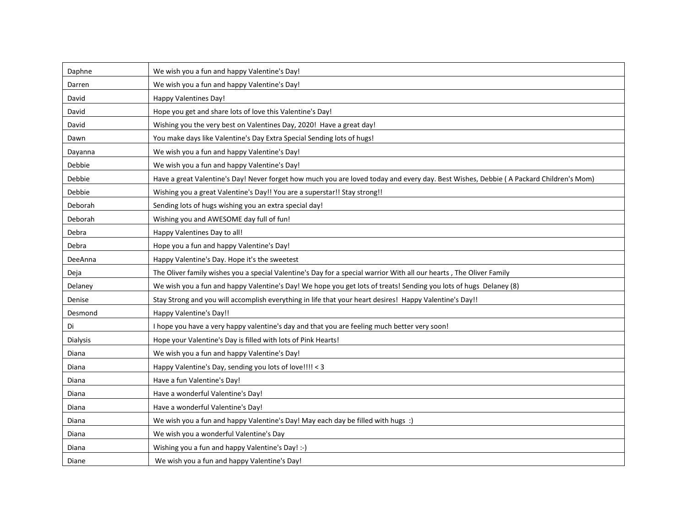| Daphne   | We wish you a fun and happy Valentine's Day!                                                                                          |
|----------|---------------------------------------------------------------------------------------------------------------------------------------|
| Darren   | We wish you a fun and happy Valentine's Day!                                                                                          |
| David    | Happy Valentines Day!                                                                                                                 |
| David    | Hope you get and share lots of love this Valentine's Day!                                                                             |
| David    | Wishing you the very best on Valentines Day, 2020! Have a great day!                                                                  |
| Dawn     | You make days like Valentine's Day Extra Special Sending lots of hugs!                                                                |
| Dayanna  | We wish you a fun and happy Valentine's Day!                                                                                          |
| Debbie   | We wish you a fun and happy Valentine's Day!                                                                                          |
| Debbie   | Have a great Valentine's Day! Never forget how much you are loved today and every day. Best Wishes, Debbie (A Packard Children's Mom) |
| Debbie   | Wishing you a great Valentine's Day!! You are a superstar!! Stay strong!!                                                             |
| Deborah  | Sending lots of hugs wishing you an extra special day!                                                                                |
| Deborah  | Wishing you and AWESOME day full of fun!                                                                                              |
| Debra    | Happy Valentines Day to all!                                                                                                          |
| Debra    | Hope you a fun and happy Valentine's Day!                                                                                             |
| DeeAnna  | Happy Valentine's Day. Hope it's the sweetest                                                                                         |
| Deja     | The Oliver family wishes you a special Valentine's Day for a special warrior With all our hearts, The Oliver Family                   |
| Delaney  | We wish you a fun and happy Valentine's Day! We hope you get lots of treats! Sending you lots of hugs Delaney (8)                     |
| Denise   | Stay Strong and you will accomplish everything in life that your heart desires! Happy Valentine's Day!!                               |
| Desmond  | Happy Valentine's Day!!                                                                                                               |
| Di       | I hope you have a very happy valentine's day and that you are feeling much better very soon!                                          |
| Dialysis | Hope your Valentine's Day is filled with lots of Pink Hearts!                                                                         |
| Diana    | We wish you a fun and happy Valentine's Day!                                                                                          |
| Diana    | Happy Valentine's Day, sending you lots of love!!!! < 3                                                                               |
| Diana    | Have a fun Valentine's Day!                                                                                                           |
| Diana    | Have a wonderful Valentine's Day!                                                                                                     |
| Diana    | Have a wonderful Valentine's Day!                                                                                                     |
| Diana    | We wish you a fun and happy Valentine's Day! May each day be filled with hugs :)                                                      |
| Diana    | We wish you a wonderful Valentine's Day                                                                                               |
| Diana    | Wishing you a fun and happy Valentine's Day! :-)                                                                                      |
| Diane    | We wish you a fun and happy Valentine's Day!                                                                                          |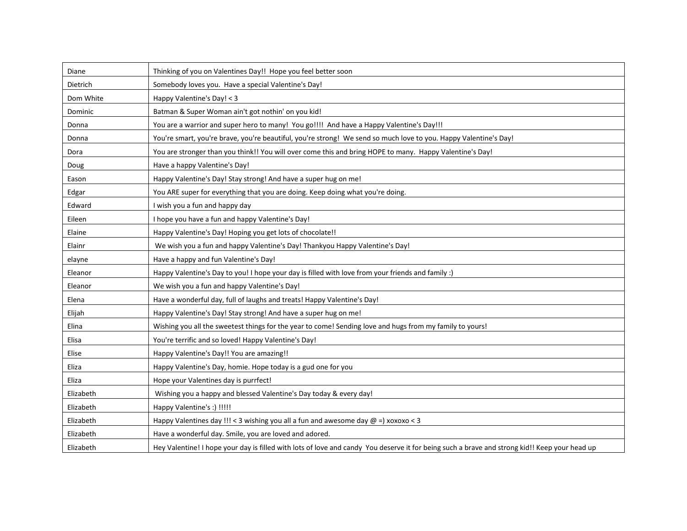| Diane     | Thinking of you on Valentines Day!! Hope you feel better soon                                                                                 |
|-----------|-----------------------------------------------------------------------------------------------------------------------------------------------|
| Dietrich  | Somebody loves you. Have a special Valentine's Day!                                                                                           |
| Dom White | Happy Valentine's Day! < 3                                                                                                                    |
| Dominic   | Batman & Super Woman ain't got nothin' on you kid!                                                                                            |
| Donna     | You are a warrior and super hero to many! You go!!!! And have a Happy Valentine's Day!!!                                                      |
| Donna     | You're smart, you're brave, you're beautiful, you're strong! We send so much love to you. Happy Valentine's Day!                              |
| Dora      | You are stronger than you think!! You will over come this and bring HOPE to many. Happy Valentine's Day!                                      |
| Doug      | Have a happy Valentine's Day!                                                                                                                 |
| Eason     | Happy Valentine's Day! Stay strong! And have a super hug on me!                                                                               |
| Edgar     | You ARE super for everything that you are doing. Keep doing what you're doing.                                                                |
| Edward    | I wish you a fun and happy day                                                                                                                |
| Eileen    | I hope you have a fun and happy Valentine's Day!                                                                                              |
| Elaine    | Happy Valentine's Day! Hoping you get lots of chocolate!!                                                                                     |
| Elainr    | We wish you a fun and happy Valentine's Day! Thankyou Happy Valentine's Day!                                                                  |
| elayne    | Have a happy and fun Valentine's Day!                                                                                                         |
| Eleanor   | Happy Valentine's Day to you! I hope your day is filled with love from your friends and family :)                                             |
| Eleanor   | We wish you a fun and happy Valentine's Day!                                                                                                  |
| Elena     | Have a wonderful day, full of laughs and treats! Happy Valentine's Day!                                                                       |
| Elijah    | Happy Valentine's Day! Stay strong! And have a super hug on me!                                                                               |
| Elina     | Wishing you all the sweetest things for the year to come! Sending love and hugs from my family to yours!                                      |
| Elisa     | You're terrific and so loved! Happy Valentine's Day!                                                                                          |
| Elise     | Happy Valentine's Day!! You are amazing!!                                                                                                     |
| Eliza     | Happy Valentine's Day, homie. Hope today is a gud one for you                                                                                 |
| Eliza     | Hope your Valentines day is purrfect!                                                                                                         |
| Elizabeth | Wishing you a happy and blessed Valentine's Day today & every day!                                                                            |
| Elizabeth | Happy Valentine's :) !!!!!                                                                                                                    |
| Elizabeth | Happy Valentines day !!! < 3 wishing you all a fun and awesome day $@ =$ ) xoxoxo < 3                                                         |
| Elizabeth | Have a wonderful day. Smile, you are loved and adored.                                                                                        |
| Elizabeth | Hey Valentine! I hope your day is filled with lots of love and candy You deserve it for being such a brave and strong kid!! Keep your head up |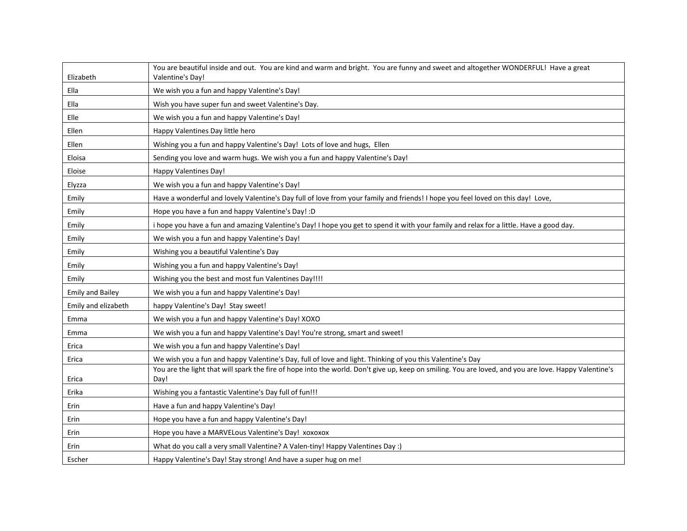| Elizabeth               | You are beautiful inside and out. You are kind and warm and bright. You are funny and sweet and altogether WONDERFUL! Have a great<br>Valentine's Day!        |
|-------------------------|---------------------------------------------------------------------------------------------------------------------------------------------------------------|
| Ella                    | We wish you a fun and happy Valentine's Day!                                                                                                                  |
| Ella                    | Wish you have super fun and sweet Valentine's Day.                                                                                                            |
| Elle                    | We wish you a fun and happy Valentine's Day!                                                                                                                  |
| Ellen                   | Happy Valentines Day little hero                                                                                                                              |
| Ellen                   | Wishing you a fun and happy Valentine's Day! Lots of love and hugs, Ellen                                                                                     |
| Eloisa                  | Sending you love and warm hugs. We wish you a fun and happy Valentine's Day!                                                                                  |
| Eloise                  | <b>Happy Valentines Day!</b>                                                                                                                                  |
| Elyzza                  | We wish you a fun and happy Valentine's Day!                                                                                                                  |
| Emily                   | Have a wonderful and lovely Valentine's Day full of love from your family and friends! I hope you feel loved on this day! Love,                               |
| Emily                   | Hope you have a fun and happy Valentine's Day! : D                                                                                                            |
| Emily                   | i hope you have a fun and amazing Valentine's Day! I hope you get to spend it with your family and relax for a little. Have a good day.                       |
| Emily                   | We wish you a fun and happy Valentine's Day!                                                                                                                  |
| Emily                   | Wishing you a beautiful Valentine's Day                                                                                                                       |
| Emily                   | Wishing you a fun and happy Valentine's Day!                                                                                                                  |
| Emily                   | Wishing you the best and most fun Valentines Day!!!!                                                                                                          |
| <b>Emily and Bailey</b> | We wish you a fun and happy Valentine's Day!                                                                                                                  |
| Emily and elizabeth     | happy Valentine's Day! Stay sweet!                                                                                                                            |
| Emma                    | We wish you a fun and happy Valentine's Day! XOXO                                                                                                             |
| Emma                    | We wish you a fun and happy Valentine's Day! You're strong, smart and sweet!                                                                                  |
| Erica                   | We wish you a fun and happy Valentine's Day!                                                                                                                  |
| Erica                   | We wish you a fun and happy Valentine's Day, full of love and light. Thinking of you this Valentine's Day                                                     |
| Erica                   | You are the light that will spark the fire of hope into the world. Don't give up, keep on smiling. You are loved, and you are love. Happy Valentine's<br>Day! |
| Erika                   | Wishing you a fantastic Valentine's Day full of fun!!!                                                                                                        |
| Erin                    | Have a fun and happy Valentine's Day!                                                                                                                         |
| Erin                    | Hope you have a fun and happy Valentine's Day!                                                                                                                |
| Erin                    | Hope you have a MARVELous Valentine's Day! xoxoxox                                                                                                            |
| Erin                    | What do you call a very small Valentine? A Valen-tiny! Happy Valentines Day :)                                                                                |
| Escher                  | Happy Valentine's Day! Stay strong! And have a super hug on me!                                                                                               |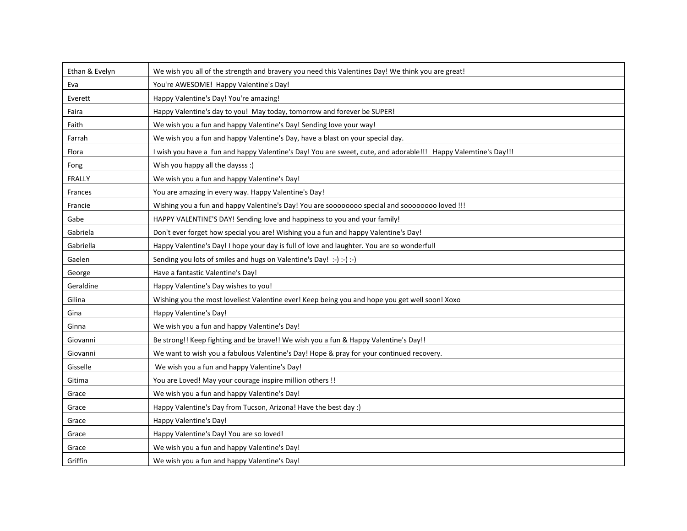| Ethan & Evelyn | We wish you all of the strength and bravery you need this Valentines Day! We think you are great!              |
|----------------|----------------------------------------------------------------------------------------------------------------|
| Eva            | You're AWESOME! Happy Valentine's Day!                                                                         |
| Everett        | Happy Valentine's Day! You're amazing!                                                                         |
| Faira          | Happy Valentine's day to you! May today, tomorrow and forever be SUPER!                                        |
| Faith          | We wish you a fun and happy Valentine's Day! Sending love your way!                                            |
| Farrah         | We wish you a fun and happy Valentine's Day, have a blast on your special day.                                 |
| Flora          | I wish you have a fun and happy Valentine's Day! You are sweet, cute, and adorable!!! Happy Valemtine's Day!!! |
| Fong           | Wish you happy all the daysss :)                                                                               |
| <b>FRALLY</b>  | We wish you a fun and happy Valentine's Day!                                                                   |
| Frances        | You are amazing in every way. Happy Valentine's Day!                                                           |
| Francie        | Wishing you a fun and happy Valentine's Day! You are soooooooo special and soooooooo loved !!!                 |
| Gabe           | HAPPY VALENTINE'S DAY! Sending love and happiness to you and your family!                                      |
| Gabriela       | Don't ever forget how special you are! Wishing you a fun and happy Valentine's Day!                            |
| Gabriella      | Happy Valentine's Day! I hope your day is full of love and laughter. You are so wonderful!                     |
| Gaelen         | Sending you lots of smiles and hugs on Valentine's Day! :-) :-) :-)                                            |
| George         | Have a fantastic Valentine's Day!                                                                              |
| Geraldine      | Happy Valentine's Day wishes to you!                                                                           |
| Gilina         | Wishing you the most loveliest Valentine ever! Keep being you and hope you get well soon! Xoxo                 |
| Gina           | Happy Valentine's Day!                                                                                         |
| Ginna          | We wish you a fun and happy Valentine's Day!                                                                   |
| Giovanni       | Be strong!! Keep fighting and be brave!! We wish you a fun & Happy Valentine's Day!!                           |
| Giovanni       | We want to wish you a fabulous Valentine's Day! Hope & pray for your continued recovery.                       |
| Gisselle       | We wish you a fun and happy Valentine's Day!                                                                   |
| Gitima         | You are Loved! May your courage inspire million others !!                                                      |
| Grace          | We wish you a fun and happy Valentine's Day!                                                                   |
| Grace          | Happy Valentine's Day from Tucson, Arizona! Have the best day :)                                               |
| Grace          | Happy Valentine's Day!                                                                                         |
| Grace          | Happy Valentine's Day! You are so loved!                                                                       |
| Grace          | We wish you a fun and happy Valentine's Day!                                                                   |
| Griffin        | We wish you a fun and happy Valentine's Day!                                                                   |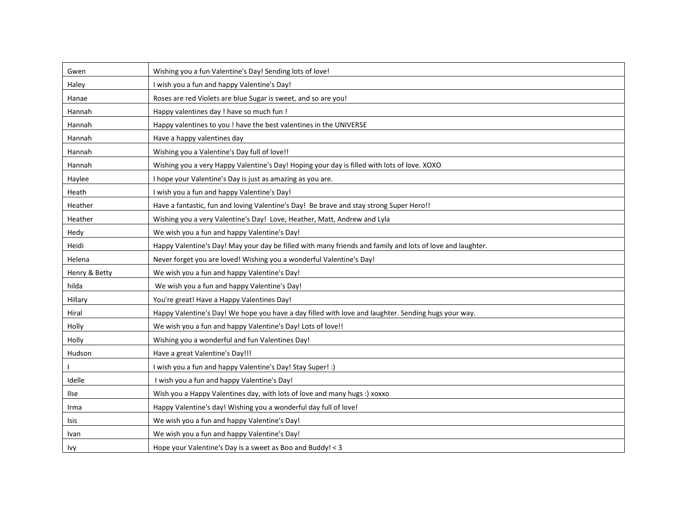| Gwen          | Wishing you a fun Valentine's Day! Sending lots of love!                                                  |
|---------------|-----------------------------------------------------------------------------------------------------------|
| Haley         | I wish you a fun and happy Valentine's Day!                                                               |
| Hanae         | Roses are red Violets are blue Sugar is sweet, and so are you!                                            |
| Hannah        | Happy valentines day ! have so much fun !                                                                 |
| Hannah        | Happy valentines to you ! have the best valentines in the UNIVERSE                                        |
| Hannah        | Have a happy valentines day                                                                               |
| Hannah        | Wishing you a Valentine's Day full of love!!                                                              |
| Hannah        | Wishing you a very Happy Valentine's Day! Hoping your day is filled with lots of love. XOXO               |
| Haylee        | I hope your Valentine's Day is just as amazing as you are.                                                |
| Heath         | I wish you a fun and happy Valentine's Day!                                                               |
| Heather       | Have a fantastic, fun and loving Valentine's Day! Be brave and stay strong Super Hero!!                   |
| Heather       | Wishing you a very Valentine's Day! Love, Heather, Matt, Andrew and Lyla                                  |
| Hedy          | We wish you a fun and happy Valentine's Day!                                                              |
| Heidi         | Happy Valentine's Day! May your day be filled with many friends and family and lots of love and laughter. |
| Helena        | Never forget you are loved! Wishing you a wonderful Valentine's Day!                                      |
| Henry & Betty | We wish you a fun and happy Valentine's Day!                                                              |
| hilda         | We wish you a fun and happy Valentine's Day!                                                              |
| Hillary       | You're great! Have a Happy Valentines Day!                                                                |
| Hiral         | Happy Valentine's Day! We hope you have a day filled with love and laughter. Sending hugs your way.       |
| Holly         | We wish you a fun and happy Valentine's Day! Lots of love!!                                               |
| Holly         | Wishing you a wonderful and fun Valentines Day!                                                           |
| Hudson        | Have a great Valentine's Day!!!                                                                           |
|               | I wish you a fun and happy Valentine's Day! Stay Super! :)                                                |
| Idelle        | I wish you a fun and happy Valentine's Day!                                                               |
| Ilse          | Wish you a Happy Valentines day, with lots of love and many hugs :) xoxxo                                 |
| Irma          | Happy Valentine's day! Wishing you a wonderful day full of love!                                          |
| Isis          | We wish you a fun and happy Valentine's Day!                                                              |
| Ivan          | We wish you a fun and happy Valentine's Day!                                                              |
| <b>Ivy</b>    | Hope your Valentine's Day is a sweet as Boo and Buddy! < 3                                                |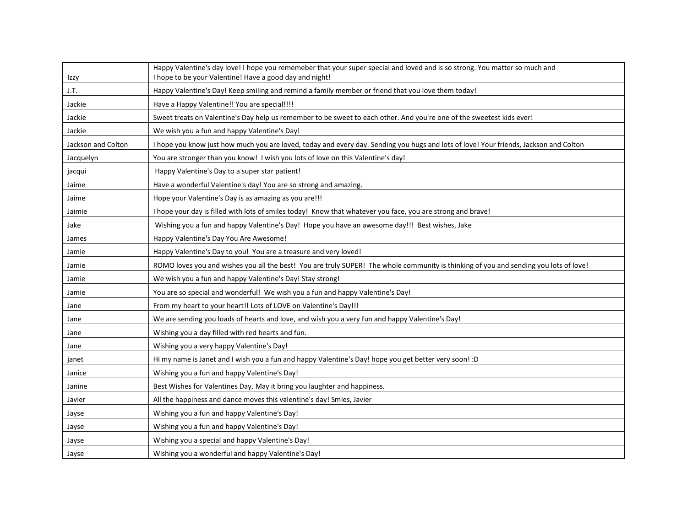| Izzy               | Happy Valentine's day love! I hope you rememeber that your super special and loved and is so strong. You matter so much and<br>I hope to be your Valentine! Have a good day and night! |
|--------------------|----------------------------------------------------------------------------------------------------------------------------------------------------------------------------------------|
| J.T.               | Happy Valentine's Day! Keep smiling and remind a family member or friend that you love them today!                                                                                     |
| Jackie             | Have a Happy Valentine!! You are special!!!!                                                                                                                                           |
| Jackie             | Sweet treats on Valentine's Day help us remember to be sweet to each other. And you're one of the sweetest kids ever!                                                                  |
| Jackie             | We wish you a fun and happy Valentine's Day!                                                                                                                                           |
| Jackson and Colton | I hope you know just how much you are loved, today and every day. Sending you hugs and lots of love! Your friends, Jackson and Colton                                                  |
| Jacquelyn          | You are stronger than you know! I wish you lots of love on this Valentine's day!                                                                                                       |
| jacqui             | Happy Valentine's Day to a super star patient!                                                                                                                                         |
| Jaime              | Have a wonderful Valentine's day! You are so strong and amazing.                                                                                                                       |
| Jaime              | Hope your Valentine's Day is as amazing as you are!!!                                                                                                                                  |
| Jaimie             | I hope your day is filled with lots of smiles today! Know that whatever you face, you are strong and brave!                                                                            |
| Jake               | Wishing you a fun and happy Valentine's Day! Hope you have an awesome day!!! Best wishes, Jake                                                                                         |
| James              | Happy Valentine's Day You Are Awesome!                                                                                                                                                 |
| Jamie              | Happy Valentine's Day to you! You are a treasure and very loved!                                                                                                                       |
| Jamie              | ROMO loves you and wishes you all the best! You are truly SUPER! The whole community is thinking of you and sending you lots of love!                                                  |
| Jamie              | We wish you a fun and happy Valentine's Day! Stay strong!                                                                                                                              |
| Jamie              | You are so special and wonderful! We wish you a fun and happy Valentine's Day!                                                                                                         |
| Jane               | From my heart to your heart!! Lots of LOVE on Valentine's Day!!!                                                                                                                       |
| Jane               | We are sending you loads of hearts and love, and wish you a very fun and happy Valentine's Day!                                                                                        |
| Jane               | Wishing you a day filled with red hearts and fun.                                                                                                                                      |
| Jane               | Wishing you a very happy Valentine's Day!                                                                                                                                              |
| janet              | Hi my name is Janet and I wish you a fun and happy Valentine's Day! hope you get better very soon! :D                                                                                  |
| Janice             | Wishing you a fun and happy Valentine's Day!                                                                                                                                           |
| Janine             | Best Wishes for Valentines Day, May it bring you laughter and happiness.                                                                                                               |
| Javier             | All the happiness and dance moves this valentine's day! Smles, Javier                                                                                                                  |
| Jayse              | Wishing you a fun and happy Valentine's Day!                                                                                                                                           |
| Jayse              | Wishing you a fun and happy Valentine's Day!                                                                                                                                           |
| Jayse              | Wishing you a special and happy Valentine's Day!                                                                                                                                       |
| Jayse              | Wishing you a wonderful and happy Valentine's Day!                                                                                                                                     |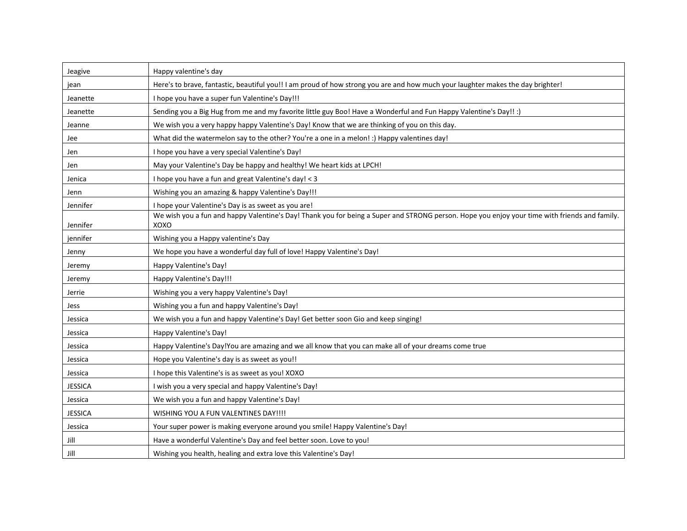| Jeagive        | Happy valentine's day                                                                                                                                 |
|----------------|-------------------------------------------------------------------------------------------------------------------------------------------------------|
| jean           | Here's to brave, fantastic, beautiful you!! I am proud of how strong you are and how much your laughter makes the day brighter!                       |
| Jeanette       | I hope you have a super fun Valentine's Day!!!                                                                                                        |
| Jeanette       | Sending you a Big Hug from me and my favorite little guy Boo! Have a Wonderful and Fun Happy Valentine's Day!! :)                                     |
| Jeanne         | We wish you a very happy happy Valentine's Day! Know that we are thinking of you on this day.                                                         |
| Jee            | What did the watermelon say to the other? You're a one in a melon! :) Happy valentines day!                                                           |
| Jen            | I hope you have a very special Valentine's Day!                                                                                                       |
| Jen            | May your Valentine's Day be happy and healthy! We heart kids at LPCH!                                                                                 |
| Jenica         | I hope you have a fun and great Valentine's day! < 3                                                                                                  |
| Jenn           | Wishing you an amazing & happy Valentine's Day!!!                                                                                                     |
| Jennifer       | I hope your Valentine's Day is as sweet as you are!                                                                                                   |
| Jennifer       | We wish you a fun and happy Valentine's Day! Thank you for being a Super and STRONG person. Hope you enjoy your time with friends and family.<br>XOXO |
| jennifer       | Wishing you a Happy valentine's Day                                                                                                                   |
| Jenny          | We hope you have a wonderful day full of love! Happy Valentine's Day!                                                                                 |
| Jeremy         | Happy Valentine's Day!                                                                                                                                |
| Jeremy         | Happy Valentine's Day!!!                                                                                                                              |
| Jerrie         | Wishing you a very happy Valentine's Day!                                                                                                             |
| Jess           | Wishing you a fun and happy Valentine's Day!                                                                                                          |
| Jessica        | We wish you a fun and happy Valentine's Day! Get better soon Gio and keep singing!                                                                    |
| Jessica        | Happy Valentine's Day!                                                                                                                                |
| Jessica        | Happy Valentine's Day!You are amazing and we all know that you can make all of your dreams come true                                                  |
| Jessica        | Hope you Valentine's day is as sweet as you!!                                                                                                         |
| Jessica        | I hope this Valentine's is as sweet as you! XOXO                                                                                                      |
| JESSICA        | I wish you a very special and happy Valentine's Day!                                                                                                  |
| Jessica        | We wish you a fun and happy Valentine's Day!                                                                                                          |
| <b>JESSICA</b> | WISHING YOU A FUN VALENTINES DAY!!!!                                                                                                                  |
| Jessica        | Your super power is making everyone around you smile! Happy Valentine's Day!                                                                          |
| Jill           | Have a wonderful Valentine's Day and feel better soon. Love to you!                                                                                   |
| Jill           | Wishing you health, healing and extra love this Valentine's Day!                                                                                      |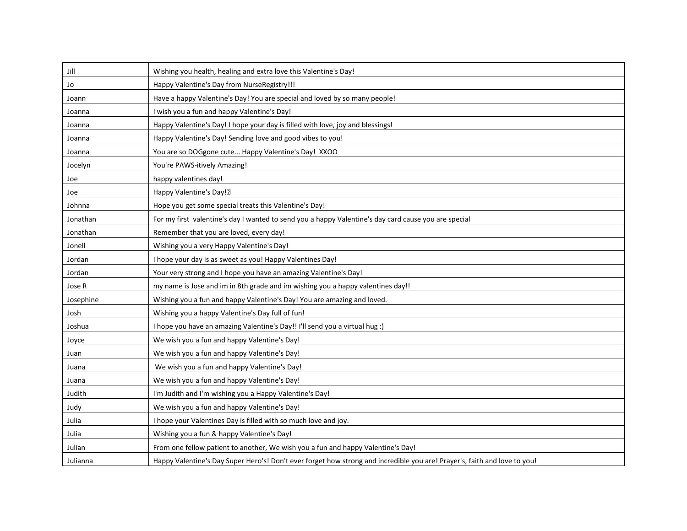| Jill      | Wishing you health, healing and extra love this Valentine's Day!                                                          |
|-----------|---------------------------------------------------------------------------------------------------------------------------|
| Jo        | Happy Valentine's Day from NurseRegistry!!!                                                                               |
| Joann     | Have a happy Valentine's Day! You are special and loved by so many people!                                                |
| Joanna    | I wish you a fun and happy Valentine's Day!                                                                               |
| Joanna    | Happy Valentine's Day! I hope your day is filled with love, joy and blessings!                                            |
| Joanna    | Happy Valentine's Day! Sending love and good vibes to you!                                                                |
| Joanna    | You are so DOGgone cute Happy Valentine's Day! XXOO                                                                       |
| Jocelyn   | You're PAWS-itively Amazing!                                                                                              |
| Joe       | happy valentines day!                                                                                                     |
| Joe       | Happy Valentine's Day! <sup>?</sup>                                                                                       |
| Johnna    | Hope you get some special treats this Valentine's Day!                                                                    |
| Jonathan  | For my first valentine's day I wanted to send you a happy Valentine's day card cause you are special                      |
| Jonathan  | Remember that you are loved, every day!                                                                                   |
| Jonell    | Wishing you a very Happy Valentine's Day!                                                                                 |
| Jordan    | I hope your day is as sweet as you! Happy Valentines Day!                                                                 |
| Jordan    | Your very strong and I hope you have an amazing Valentine's Day!                                                          |
| Jose R    | my name is Jose and im in 8th grade and im wishing you a happy valentines day!!                                           |
| Josephine | Wishing you a fun and happy Valentine's Day! You are amazing and loved.                                                   |
| Josh      | Wishing you a happy Valentine's Day full of fun!                                                                          |
| Joshua    | I hope you have an amazing Valentine's Day!! I'll send you a virtual hug :)                                               |
| Joyce     | We wish you a fun and happy Valentine's Day!                                                                              |
| Juan      | We wish you a fun and happy Valentine's Day!                                                                              |
| Juana     | We wish you a fun and happy Valentine's Day!                                                                              |
| Juana     | We wish you a fun and happy Valentine's Day!                                                                              |
| Judith    | I'm Judith and I'm wishing you a Happy Valentine's Day!                                                                   |
| Judy      | We wish you a fun and happy Valentine's Day!                                                                              |
| Julia     | I hope your Valentines Day is filled with so much love and joy.                                                           |
| Julia     | Wishing you a fun & happy Valentine's Day!                                                                                |
| Julian    | From one fellow patient to another, We wish you a fun and happy Valentine's Day!                                          |
| Julianna  | Happy Valentine's Day Super Hero's! Don't ever forget how strong and incredible you are! Prayer's, faith and love to you! |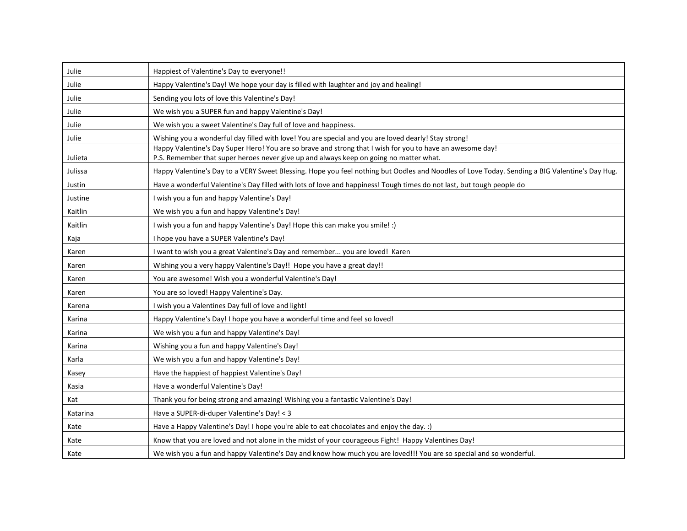| Julie    | Happiest of Valentine's Day to everyone!!                                                                                                                                                           |
|----------|-----------------------------------------------------------------------------------------------------------------------------------------------------------------------------------------------------|
| Julie    | Happy Valentine's Day! We hope your day is filled with laughter and joy and healing!                                                                                                                |
| Julie    | Sending you lots of love this Valentine's Day!                                                                                                                                                      |
| Julie    | We wish you a SUPER fun and happy Valentine's Day!                                                                                                                                                  |
| Julie    | We wish you a sweet Valentine's Day full of love and happiness.                                                                                                                                     |
| Julie    | Wishing you a wonderful day filled with love! You are special and you are loved dearly! Stay strong!                                                                                                |
| Julieta  | Happy Valentine's Day Super Hero! You are so brave and strong that I wish for you to have an awesome day!<br>P.S. Remember that super heroes never give up and always keep on going no matter what. |
| Julissa  | Happy Valentine's Day to a VERY Sweet Blessing. Hope you feel nothing but Oodles and Noodles of Love Today. Sending a BIG Valentine's Day Hug.                                                      |
| Justin   | Have a wonderful Valentine's Day filled with lots of love and happiness! Tough times do not last, but tough people do                                                                               |
| Justine  | I wish you a fun and happy Valentine's Day!                                                                                                                                                         |
| Kaitlin  | We wish you a fun and happy Valentine's Day!                                                                                                                                                        |
| Kaitlin  | I wish you a fun and happy Valentine's Day! Hope this can make you smile! :)                                                                                                                        |
| Kaja     | I hope you have a SUPER Valentine's Day!                                                                                                                                                            |
| Karen    | I want to wish you a great Valentine's Day and remember you are loved! Karen                                                                                                                        |
| Karen    | Wishing you a very happy Valentine's Day!! Hope you have a great day!!                                                                                                                              |
| Karen    | You are awesome! Wish you a wonderful Valentine's Day!                                                                                                                                              |
| Karen    | You are so loved! Happy Valentine's Day.                                                                                                                                                            |
| Karena   | I wish you a Valentines Day full of love and light!                                                                                                                                                 |
| Karina   | Happy Valentine's Day! I hope you have a wonderful time and feel so loved!                                                                                                                          |
| Karina   | We wish you a fun and happy Valentine's Day!                                                                                                                                                        |
| Karina   | Wishing you a fun and happy Valentine's Day!                                                                                                                                                        |
| Karla    | We wish you a fun and happy Valentine's Day!                                                                                                                                                        |
| Kasey    | Have the happiest of happiest Valentine's Day!                                                                                                                                                      |
| Kasia    | Have a wonderful Valentine's Day!                                                                                                                                                                   |
| Kat      | Thank you for being strong and amazing! Wishing you a fantastic Valentine's Day!                                                                                                                    |
| Katarina | Have a SUPER-di-duper Valentine's Day! < 3                                                                                                                                                          |
| Kate     | Have a Happy Valentine's Day! I hope you're able to eat chocolates and enjoy the day. :)                                                                                                            |
| Kate     | Know that you are loved and not alone in the midst of your courageous Fight! Happy Valentines Day!                                                                                                  |
| Kate     | We wish you a fun and happy Valentine's Day and know how much you are loved!!! You are so special and so wonderful.                                                                                 |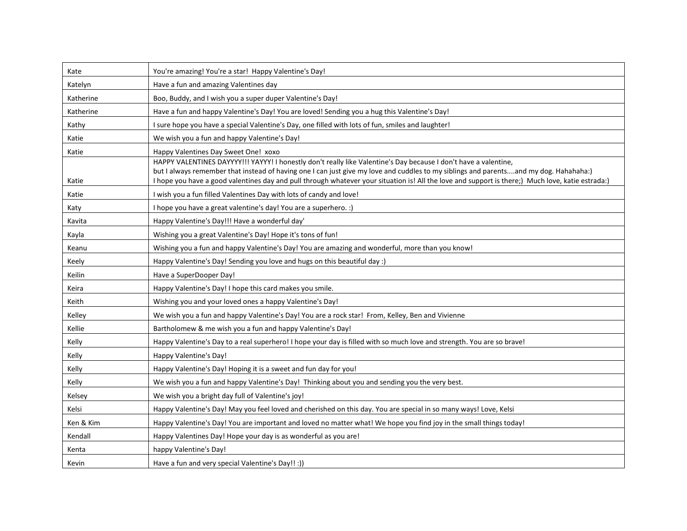| Kate      | You're amazing! You're a star! Happy Valentine's Day!                                                                                                                                                                                                                                                                                                                                                          |
|-----------|----------------------------------------------------------------------------------------------------------------------------------------------------------------------------------------------------------------------------------------------------------------------------------------------------------------------------------------------------------------------------------------------------------------|
| Katelyn   | Have a fun and amazing Valentines day                                                                                                                                                                                                                                                                                                                                                                          |
| Katherine | Boo, Buddy, and I wish you a super duper Valentine's Day!                                                                                                                                                                                                                                                                                                                                                      |
| Katherine | Have a fun and happy Valentine's Day! You are loved! Sending you a hug this Valentine's Day!                                                                                                                                                                                                                                                                                                                   |
| Kathy     | I sure hope you have a special Valentine's Day, one filled with lots of fun, smiles and laughter!                                                                                                                                                                                                                                                                                                              |
| Katie     | We wish you a fun and happy Valentine's Day!                                                                                                                                                                                                                                                                                                                                                                   |
| Katie     | Happy Valentines Day Sweet One! xoxo                                                                                                                                                                                                                                                                                                                                                                           |
| Katie     | HAPPY VALENTINES DAYYYY!!! YAYYY! I honestly don't really like Valentine's Day because I don't have a valentine,<br>but I always remember that instead of having one I can just give my love and cuddles to my siblings and parentsand my dog. Hahahaha:)<br>I hope you have a good valentines day and pull through whatever your situation is! All the love and support is there;) Much love, katie estrada:) |
| Katie     | I wish you a fun filled Valentines Day with lots of candy and love!                                                                                                                                                                                                                                                                                                                                            |
| Katy      | I hope you have a great valentine's day! You are a superhero. :)                                                                                                                                                                                                                                                                                                                                               |
| Kavita    | Happy Valentine's Day!!! Have a wonderful day'                                                                                                                                                                                                                                                                                                                                                                 |
| Kayla     | Wishing you a great Valentine's Day! Hope it's tons of fun!                                                                                                                                                                                                                                                                                                                                                    |
| Keanu     | Wishing you a fun and happy Valentine's Day! You are amazing and wonderful, more than you know!                                                                                                                                                                                                                                                                                                                |
| Keely     | Happy Valentine's Day! Sending you love and hugs on this beautiful day :)                                                                                                                                                                                                                                                                                                                                      |
| Keilin    | Have a SuperDooper Day!                                                                                                                                                                                                                                                                                                                                                                                        |
| Keira     | Happy Valentine's Day! I hope this card makes you smile.                                                                                                                                                                                                                                                                                                                                                       |
| Keith     | Wishing you and your loved ones a happy Valentine's Day!                                                                                                                                                                                                                                                                                                                                                       |
| Kelley    | We wish you a fun and happy Valentine's Day! You are a rock star! From, Kelley, Ben and Vivienne                                                                                                                                                                                                                                                                                                               |
| Kellie    | Bartholomew & me wish you a fun and happy Valentine's Day!                                                                                                                                                                                                                                                                                                                                                     |
| Kelly     | Happy Valentine's Day to a real superhero! I hope your day is filled with so much love and strength. You are so brave!                                                                                                                                                                                                                                                                                         |
| Kelly     | Happy Valentine's Day!                                                                                                                                                                                                                                                                                                                                                                                         |
| Kelly     | Happy Valentine's Day! Hoping it is a sweet and fun day for you!                                                                                                                                                                                                                                                                                                                                               |
| Kelly     | We wish you a fun and happy Valentine's Day! Thinking about you and sending you the very best.                                                                                                                                                                                                                                                                                                                 |
| Kelsey    | We wish you a bright day full of Valentine's joy!                                                                                                                                                                                                                                                                                                                                                              |
| Kelsi     | Happy Valentine's Day! May you feel loved and cherished on this day. You are special in so many ways! Love, Kelsi                                                                                                                                                                                                                                                                                              |
| Ken & Kim | Happy Valentine's Day! You are important and loved no matter what! We hope you find joy in the small things today!                                                                                                                                                                                                                                                                                             |
| Kendall   | Happy Valentines Day! Hope your day is as wonderful as you are!                                                                                                                                                                                                                                                                                                                                                |
| Kenta     | happy Valentine's Day!                                                                                                                                                                                                                                                                                                                                                                                         |
| Kevin     | Have a fun and very special Valentine's Day!! :))                                                                                                                                                                                                                                                                                                                                                              |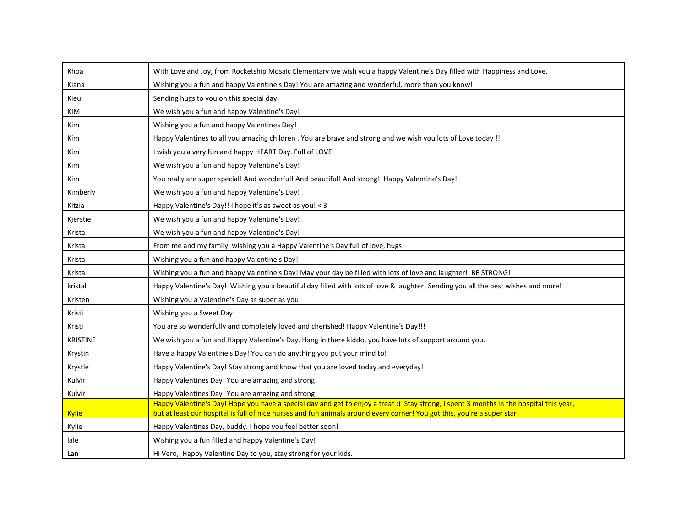| Khoa            | With Love and Joy, from Rocketship Mosaic Elementary we wish you a happy Valentine's Day filled with Happiness and Love.                |
|-----------------|-----------------------------------------------------------------------------------------------------------------------------------------|
| Kiana           | Wishing you a fun and happy Valentine's Day! You are amazing and wonderful, more than you know!                                         |
| Kieu            | Sending hugs to you on this special day.                                                                                                |
| <b>KIM</b>      | We wish you a fun and happy Valentine's Day!                                                                                            |
| Kim             | Wishing you a fun and happy Valentines Day!                                                                                             |
| Kim             | Happy Valentines to all you amazing children . You are brave and strong and we wish you lots of Love today !!                           |
| <b>Kim</b>      | I wish you a very fun and happy HEART Day. Full of LOVE                                                                                 |
| Kim             | We wish you a fun and happy Valentine's Day!                                                                                            |
| Kim             | You really are super special! And wonderful! And beautiful! And strong! Happy Valentine's Day!                                          |
| Kimberly        | We wish you a fun and happy Valentine's Day!                                                                                            |
| Kitzia          | Happy Valentine's Day!! I hope it's as sweet as you! < 3                                                                                |
| Kjerstie        | We wish you a fun and happy Valentine's Day!                                                                                            |
| Krista          | We wish you a fun and happy Valentine's Day!                                                                                            |
| Krista          | From me and my family, wishing you a Happy Valentine's Day full of love, hugs!                                                          |
| Krista          | Wishing you a fun and happy Valentine's Day!                                                                                            |
| Krista          | Wishing you a fun and happy Valentine's Day! May your day be filled with lots of love and laughter! BE STRONG!                          |
| kristal         | Happy Valentine's Day! Wishing you a beautiful day filled with lots of love & laughter! Sending you all the best wishes and more!       |
| Kristen         | Wishing you a Valentine's Day as super as you!                                                                                          |
| Kristi          | Wishing you a Sweet Day!                                                                                                                |
| Kristi          | You are so wonderfully and completely loved and cherished! Happy Valentine's Day!!!                                                     |
| <b>KRISTINE</b> | We wish you a fun and Happy Valentine's Day. Hang in there kiddo, you have lots of support around you.                                  |
| Krystin         | Have a happy Valentine's Day! You can do anything you put your mind to!                                                                 |
| Krystle         | Happy Valentine's Day! Stay strong and know that you are loved today and everyday!                                                      |
| Kulvir          | Happy Valentines Day! You are amazing and strong!                                                                                       |
| Kulvir          | Happy Valentines Day! You are amazing and strong!                                                                                       |
|                 | Happy Valentine's Day! Hope you have a special day and get to enjoy a treat :) Stay strong, I spent 3 months in the hospital this year, |
| <b>Kylie</b>    | but at least our hospital is full of nice nurses and fun animals around every corner! You got this, you're a super star!                |
| Kylie           | Happy Valentines Day, buddy. I hope you feel better soon!                                                                               |
| lale            | Wishing you a fun filled and happy Valentine's Day!                                                                                     |
| Lan             | Hi Vero, Happy Valentine Day to you, stay strong for your kids.                                                                         |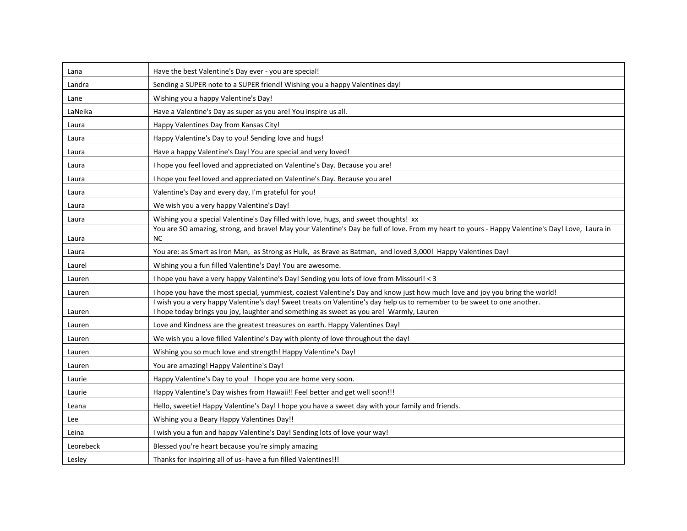| Lana            | Have the best Valentine's Day ever - you are special!                                                                                                        |
|-----------------|--------------------------------------------------------------------------------------------------------------------------------------------------------------|
| Landra          | Sending a SUPER note to a SUPER friend! Wishing you a happy Valentines day!                                                                                  |
| Lane            | Wishing you a happy Valentine's Day!                                                                                                                         |
| LaNeika         | Have a Valentine's Day as super as you are! You inspire us all.                                                                                              |
| Laura           | Happy Valentines Day from Kansas City!                                                                                                                       |
| Laura           | Happy Valentine's Day to you! Sending love and hugs!                                                                                                         |
| Laura           | Have a happy Valentine's Day! You are special and very loved!                                                                                                |
| Laura           | I hope you feel loved and appreciated on Valentine's Day. Because you are!                                                                                   |
| Laura           | I hope you feel loved and appreciated on Valentine's Day. Because you are!                                                                                   |
| Laura           | Valentine's Day and every day, I'm grateful for you!                                                                                                         |
| Laura           | We wish you a very happy Valentine's Day!                                                                                                                    |
| Laura           | Wishing you a special Valentine's Day filled with love, hugs, and sweet thoughts! xx                                                                         |
| Laura           | You are SO amazing, strong, and brave! May your Valentine's Day be full of love. From my heart to yours - Happy Valentine's Day! Love, Laura in<br><b>NC</b> |
|                 | You are: as Smart as Iron Man, as Strong as Hulk, as Brave as Batman, and loved 3,000! Happy Valentines Day!                                                 |
| Laura<br>Laurel | Wishing you a fun filled Valentine's Day! You are awesome.                                                                                                   |
| Lauren          | I hope you have a very happy Valentine's Day! Sending you lots of love from Missouri! < 3                                                                    |
| Lauren          | I hope you have the most special, yummiest, coziest Valentine's Day and know just how much love and joy you bring the world!                                 |
|                 | I wish you a very happy Valentine's day! Sweet treats on Valentine's day help us to remember to be sweet to one another.                                     |
| Lauren          | I hope today brings you joy, laughter and something as sweet as you are! Warmly, Lauren                                                                      |
| Lauren          | Love and Kindness are the greatest treasures on earth. Happy Valentines Day!                                                                                 |
| Lauren          | We wish you a love filled Valentine's Day with plenty of love throughout the day!                                                                            |
| Lauren          | Wishing you so much love and strength! Happy Valentine's Day!                                                                                                |
| Lauren          | You are amazing! Happy Valentine's Day!                                                                                                                      |
| Laurie          | Happy Valentine's Day to you! I hope you are home very soon.                                                                                                 |
| Laurie          | Happy Valentine's Day wishes from Hawaii!! Feel better and get well soon!!!                                                                                  |
| Leana           | Hello, sweetie! Happy Valentine's Day! I hope you have a sweet day with your family and friends.                                                             |
| Lee             | Wishing you a Beary Happy Valentines Day!!                                                                                                                   |
| Leina           | I wish you a fun and happy Valentine's Day! Sending lots of love your way!                                                                                   |
| Leorebeck       | Blessed you're heart because you're simply amazing                                                                                                           |
| Lesley          | Thanks for inspiring all of us- have a fun filled Valentines!!!                                                                                              |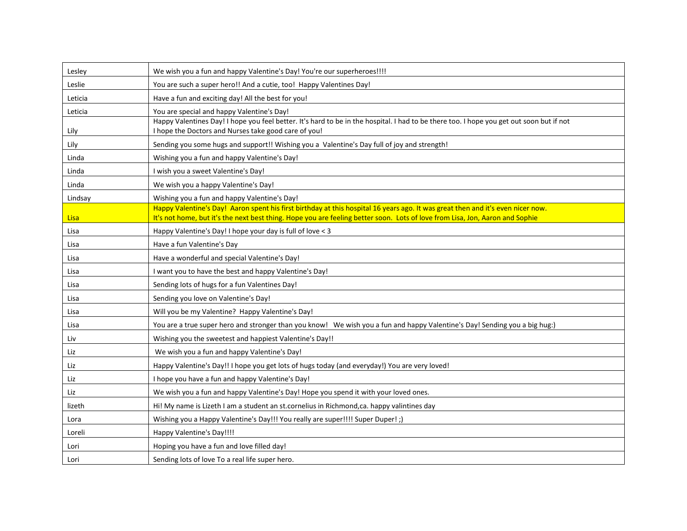| Lesley      | We wish you a fun and happy Valentine's Day! You're our superheroes!!!!                                                                                                                                                                                         |
|-------------|-----------------------------------------------------------------------------------------------------------------------------------------------------------------------------------------------------------------------------------------------------------------|
| Leslie      | You are such a super hero!! And a cutie, too! Happy Valentines Day!                                                                                                                                                                                             |
| Leticia     | Have a fun and exciting day! All the best for you!                                                                                                                                                                                                              |
| Leticia     | You are special and happy Valentine's Day!                                                                                                                                                                                                                      |
| Lily        | Happy Valentines Day! I hope you feel better. It's hard to be in the hospital. I had to be there too. I hope you get out soon but if not<br>I hope the Doctors and Nurses take good care of you!                                                                |
| Lily        | Sending you some hugs and support!! Wishing you a Valentine's Day full of joy and strength!                                                                                                                                                                     |
| Linda       | Wishing you a fun and happy Valentine's Day!                                                                                                                                                                                                                    |
| Linda       | I wish you a sweet Valentine's Day!                                                                                                                                                                                                                             |
| Linda       | We wish you a happy Valentine's Day!                                                                                                                                                                                                                            |
| Lindsay     | Wishing you a fun and happy Valentine's Day!                                                                                                                                                                                                                    |
| <b>Lisa</b> | Happy Valentine's Day! Aaron spent his first birthday at this hospital 16 years ago. It was great then and it's even nicer now.<br>It's not home, but it's the next best thing. Hope you are feeling better soon. Lots of love from Lisa, Jon, Aaron and Sophie |
| Lisa        | Happy Valentine's Day! I hope your day is full of love < 3                                                                                                                                                                                                      |
| Lisa        | Have a fun Valentine's Day                                                                                                                                                                                                                                      |
| Lisa        | Have a wonderful and special Valentine's Day!                                                                                                                                                                                                                   |
| Lisa        | I want you to have the best and happy Valentine's Day!                                                                                                                                                                                                          |
| Lisa        | Sending lots of hugs for a fun Valentines Day!                                                                                                                                                                                                                  |
| Lisa        | Sending you love on Valentine's Day!                                                                                                                                                                                                                            |
| Lisa        | Will you be my Valentine? Happy Valentine's Day!                                                                                                                                                                                                                |
| Lisa        | You are a true super hero and stronger than you know! We wish you a fun and happy Valentine's Day! Sending you a big hug:)                                                                                                                                      |
| Liv         | Wishing you the sweetest and happiest Valentine's Day!!                                                                                                                                                                                                         |
| Liz         | We wish you a fun and happy Valentine's Day!                                                                                                                                                                                                                    |
| Liz         | Happy Valentine's Day!! I hope you get lots of hugs today (and everyday!) You are very loved!                                                                                                                                                                   |
| Liz         | I hope you have a fun and happy Valentine's Day!                                                                                                                                                                                                                |
| Liz         | We wish you a fun and happy Valentine's Day! Hope you spend it with your loved ones.                                                                                                                                                                            |
| lizeth      | Hi! My name is Lizeth I am a student an st.cornelius in Richmond, ca. happy valintines day                                                                                                                                                                      |
| Lora        | Wishing you a Happy Valentine's Day!!! You really are super!!!! Super Duper!;)                                                                                                                                                                                  |
| Loreli      | Happy Valentine's Day!!!!                                                                                                                                                                                                                                       |
| Lori        | Hoping you have a fun and love filled day!                                                                                                                                                                                                                      |
| Lori        | Sending lots of love To a real life super hero.                                                                                                                                                                                                                 |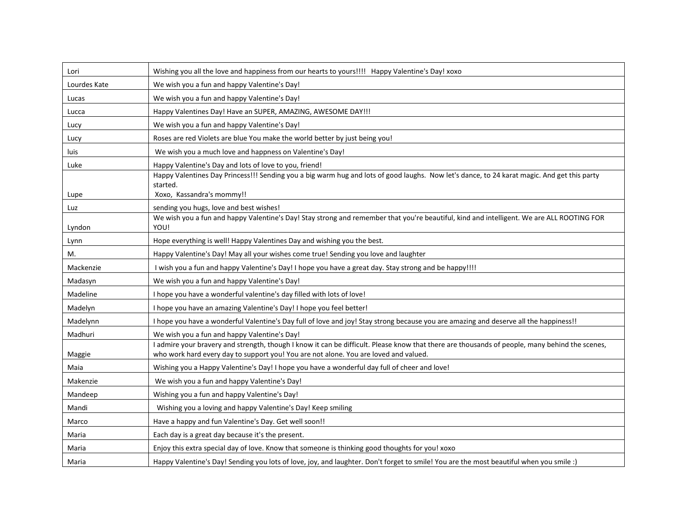| Lori         | Wishing you all the love and happiness from our hearts to yours!!!! Happy Valentine's Day! xoxo                                                                                                                                        |
|--------------|----------------------------------------------------------------------------------------------------------------------------------------------------------------------------------------------------------------------------------------|
| Lourdes Kate | We wish you a fun and happy Valentine's Day!                                                                                                                                                                                           |
| Lucas        | We wish you a fun and happy Valentine's Day!                                                                                                                                                                                           |
| Lucca        | Happy Valentines Day! Have an SUPER, AMAZING, AWESOME DAY!!!                                                                                                                                                                           |
| Lucy         | We wish you a fun and happy Valentine's Day!                                                                                                                                                                                           |
| Lucy         | Roses are red Violets are blue You make the world better by just being you!                                                                                                                                                            |
| luis         | We wish you a much love and happness on Valentine's Day!                                                                                                                                                                               |
| Luke         | Happy Valentine's Day and lots of love to you, friend!                                                                                                                                                                                 |
|              | Happy Valentines Day Princess!!! Sending you a big warm hug and lots of good laughs. Now let's dance, to 24 karat magic. And get this party<br>started.                                                                                |
| Lupe         | Xoxo, Kassandra's mommy!!                                                                                                                                                                                                              |
| Luz          | sending you hugs, love and best wishes!<br>We wish you a fun and happy Valentine's Day! Stay strong and remember that you're beautiful, kind and intelligent. We are ALL ROOTING FOR                                                   |
| Lyndon       | YOU!                                                                                                                                                                                                                                   |
| Lynn         | Hope everything is well! Happy Valentines Day and wishing you the best.                                                                                                                                                                |
| M.           | Happy Valentine's Day! May all your wishes come true! Sending you love and laughter                                                                                                                                                    |
| Mackenzie    | I wish you a fun and happy Valentine's Day! I hope you have a great day. Stay strong and be happy!!!!                                                                                                                                  |
| Madasyn      | We wish you a fun and happy Valentine's Day!                                                                                                                                                                                           |
| Madeline     | I hope you have a wonderful valentine's day filled with lots of love!                                                                                                                                                                  |
| Madelyn      | I hope you have an amazing Valentine's Day! I hope you feel better!                                                                                                                                                                    |
| Madelynn     | I hope you have a wonderful Valentine's Day full of love and joy! Stay strong because you are amazing and deserve all the happiness!!                                                                                                  |
| Madhuri      | We wish you a fun and happy Valentine's Day!                                                                                                                                                                                           |
| Maggie       | I admire your bravery and strength, though I know it can be difficult. Please know that there are thousands of people, many behind the scenes,<br>who work hard every day to support you! You are not alone. You are loved and valued. |
| Maia         | Wishing you a Happy Valentine's Day! I hope you have a wonderful day full of cheer and love!                                                                                                                                           |
| Makenzie     | We wish you a fun and happy Valentine's Day!                                                                                                                                                                                           |
| Mandeep      | Wishing you a fun and happy Valentine's Day!                                                                                                                                                                                           |
| Mandi        | Wishing you a loving and happy Valentine's Day! Keep smiling                                                                                                                                                                           |
| Marco        | Have a happy and fun Valentine's Day. Get well soon!!                                                                                                                                                                                  |
| Maria        | Each day is a great day because it's the present.                                                                                                                                                                                      |
| Maria        | Enjoy this extra special day of love. Know that someone is thinking good thoughts for you! xoxo                                                                                                                                        |
| Maria        | Happy Valentine's Day! Sending you lots of love, joy, and laughter. Don't forget to smile! You are the most beautiful when you smile :)                                                                                                |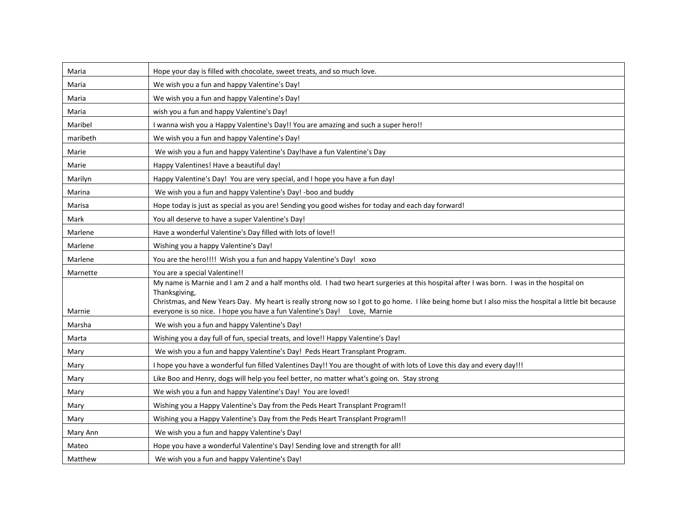| Maria    | Hope your day is filled with chocolate, sweet treats, and so much love.                                                                                               |
|----------|-----------------------------------------------------------------------------------------------------------------------------------------------------------------------|
| Maria    | We wish you a fun and happy Valentine's Day!                                                                                                                          |
| Maria    | We wish you a fun and happy Valentine's Day!                                                                                                                          |
| Maria    | wish you a fun and happy Valentine's Day!                                                                                                                             |
| Maribel  | I wanna wish you a Happy Valentine's Day!! You are amazing and such a super hero!!                                                                                    |
| maribeth | We wish you a fun and happy Valentine's Day!                                                                                                                          |
| Marie    | We wish you a fun and happy Valentine's Day!have a fun Valentine's Day                                                                                                |
| Marie    | Happy Valentines! Have a beautiful day!                                                                                                                               |
| Marilyn  | Happy Valentine's Day! You are very special, and I hope you have a fun day!                                                                                           |
| Marina   | We wish you a fun and happy Valentine's Day! -boo and buddy                                                                                                           |
| Marisa   | Hope today is just as special as you are! Sending you good wishes for today and each day forward!                                                                     |
| Mark     | You all deserve to have a super Valentine's Day!                                                                                                                      |
| Marlene  | Have a wonderful Valentine's Day filled with lots of love!!                                                                                                           |
| Marlene  | Wishing you a happy Valentine's Day!                                                                                                                                  |
| Marlene  | You are the hero!!!! Wish you a fun and happy Valentine's Day! xoxo                                                                                                   |
| Marnette | You are a special Valentine!!                                                                                                                                         |
|          | My name is Marnie and I am 2 and a half months old. I had two heart surgeries at this hospital after I was born. I was in the hospital on                             |
|          | Thanksgiving,<br>Christmas, and New Years Day. My heart is really strong now so I got to go home. I like being home but I also miss the hospital a little bit because |
| Marnie   | everyone is so nice. I hope you have a fun Valentine's Day! Love, Marnie                                                                                              |
| Marsha   | We wish you a fun and happy Valentine's Day!                                                                                                                          |
| Marta    | Wishing you a day full of fun, special treats, and love!! Happy Valentine's Day!                                                                                      |
| Mary     | We wish you a fun and happy Valentine's Day! Peds Heart Transplant Program.                                                                                           |
| Mary     | I hope you have a wonderful fun filled Valentines Day!! You are thought of with lots of Love this day and every day!!!                                                |
| Mary     | Like Boo and Henry, dogs will help you feel better, no matter what's going on. Stay strong                                                                            |
| Mary     | We wish you a fun and happy Valentine's Day! You are loved!                                                                                                           |
| Mary     | Wishing you a Happy Valentine's Day from the Peds Heart Transplant Program!!                                                                                          |
| Mary     | Wishing you a Happy Valentine's Day from the Peds Heart Transplant Program!!                                                                                          |
| Mary Ann | We wish you a fun and happy Valentine's Day!                                                                                                                          |
| Mateo    | Hope you have a wonderful Valentine's Day! Sending love and strength for all!                                                                                         |
| Matthew  | We wish you a fun and happy Valentine's Day!                                                                                                                          |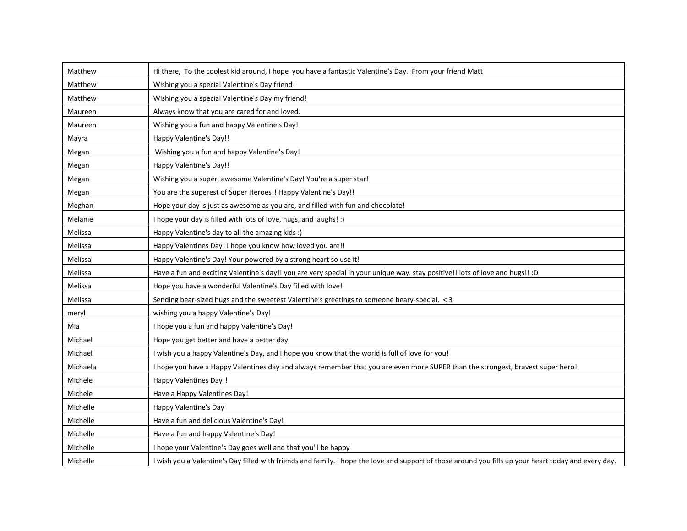| Matthew  | Hi there, To the coolest kid around, I hope you have a fantastic Valentine's Day. From your friend Matt                                               |
|----------|-------------------------------------------------------------------------------------------------------------------------------------------------------|
| Matthew  | Wishing you a special Valentine's Day friend!                                                                                                         |
| Matthew  | Wishing you a special Valentine's Day my friend!                                                                                                      |
| Maureen  | Always know that you are cared for and loved.                                                                                                         |
| Maureen  | Wishing you a fun and happy Valentine's Day!                                                                                                          |
| Mayra    | Happy Valentine's Day!!                                                                                                                               |
| Megan    | Wishing you a fun and happy Valentine's Day!                                                                                                          |
| Megan    | Happy Valentine's Day!!                                                                                                                               |
| Megan    | Wishing you a super, awesome Valentine's Day! You're a super star!                                                                                    |
| Megan    | You are the superest of Super Heroes!! Happy Valentine's Day!!                                                                                        |
| Meghan   | Hope your day is just as awesome as you are, and filled with fun and chocolate!                                                                       |
| Melanie  | I hope your day is filled with lots of love, hugs, and laughs! :)                                                                                     |
| Melissa  | Happy Valentine's day to all the amazing kids :)                                                                                                      |
| Melissa  | Happy Valentines Day! I hope you know how loved you are!!                                                                                             |
| Melissa  | Happy Valentine's Day! Your powered by a strong heart so use it!                                                                                      |
| Melissa  | Have a fun and exciting Valentine's day!! you are very special in your unique way. stay positive!! lots of love and hugs!! :D                         |
| Melissa  | Hope you have a wonderful Valentine's Day filled with love!                                                                                           |
| Melissa  | Sending bear-sized hugs and the sweetest Valentine's greetings to someone beary-special. < 3                                                          |
| meryl    | wishing you a happy Valentine's Day!                                                                                                                  |
| Mia      | I hope you a fun and happy Valentine's Day!                                                                                                           |
| Michael  | Hope you get better and have a better day.                                                                                                            |
| Michael  | I wish you a happy Valentine's Day, and I hope you know that the world is full of love for you!                                                       |
| Michaela | I hope you have a Happy Valentines day and always remember that you are even more SUPER than the strongest, bravest super hero!                       |
| Michele  | Happy Valentines Day!!                                                                                                                                |
| Michele  | Have a Happy Valentines Day!                                                                                                                          |
| Michelle | Happy Valentine's Day                                                                                                                                 |
| Michelle | Have a fun and delicious Valentine's Day!                                                                                                             |
| Michelle | Have a fun and happy Valentine's Day!                                                                                                                 |
| Michelle | I hope your Valentine's Day goes well and that you'll be happy                                                                                        |
| Michelle | I wish you a Valentine's Day filled with friends and family. I hope the love and support of those around you fills up your heart today and every day. |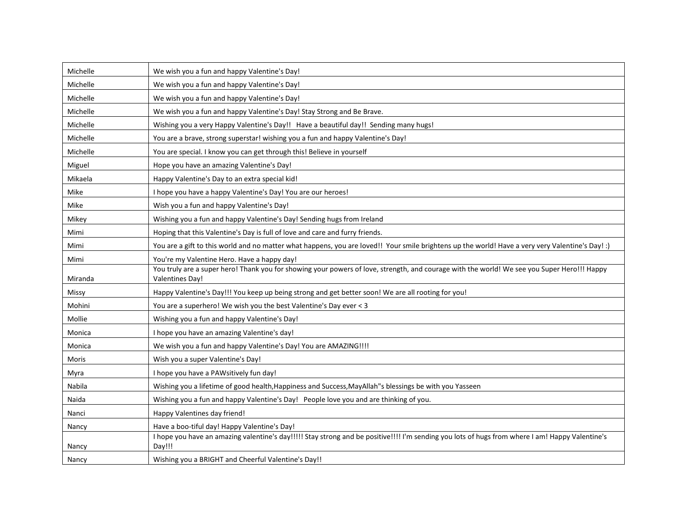| Michelle     | We wish you a fun and happy Valentine's Day!                                                                                                                          |
|--------------|-----------------------------------------------------------------------------------------------------------------------------------------------------------------------|
| Michelle     | We wish you a fun and happy Valentine's Day!                                                                                                                          |
| Michelle     | We wish you a fun and happy Valentine's Day!                                                                                                                          |
| Michelle     | We wish you a fun and happy Valentine's Day! Stay Strong and Be Brave.                                                                                                |
| Michelle     | Wishing you a very Happy Valentine's Day!! Have a beautiful day!! Sending many hugs!                                                                                  |
| Michelle     | You are a brave, strong superstar! wishing you a fun and happy Valentine's Day!                                                                                       |
| Michelle     | You are special. I know you can get through this! Believe in yourself                                                                                                 |
| Miguel       | Hope you have an amazing Valentine's Day!                                                                                                                             |
| Mikaela      | Happy Valentine's Day to an extra special kid!                                                                                                                        |
| Mike         | I hope you have a happy Valentine's Day! You are our heroes!                                                                                                          |
| Mike         | Wish you a fun and happy Valentine's Day!                                                                                                                             |
| Mikey        | Wishing you a fun and happy Valentine's Day! Sending hugs from Ireland                                                                                                |
| Mimi         | Hoping that this Valentine's Day is full of love and care and furry friends.                                                                                          |
| Mimi         | You are a gift to this world and no matter what happens, you are loved!! Your smile brightens up the world! Have a very very Valentine's Day! :)                      |
| Mimi         | You're my Valentine Hero. Have a happy day!                                                                                                                           |
| Miranda      | You truly are a super hero! Thank you for showing your powers of love, strength, and courage with the world! We see you Super Hero!!! Happy<br><b>Valentines Day!</b> |
| <b>Missy</b> | Happy Valentine's Day!!! You keep up being strong and get better soon! We are all rooting for you!                                                                    |
| Mohini       | You are a superhero! We wish you the best Valentine's Day ever < 3                                                                                                    |
| Mollie       | Wishing you a fun and happy Valentine's Day!                                                                                                                          |
| Monica       | I hope you have an amazing Valentine's day!                                                                                                                           |
| Monica       | We wish you a fun and happy Valentine's Day! You are AMAZING !!!!                                                                                                     |
| Moris        | Wish you a super Valentine's Day!                                                                                                                                     |
| Myra         | I hope you have a PAWsitively fun day!                                                                                                                                |
| Nabila       | Wishing you a lifetime of good health, Happiness and Success, MayAllah"s blessings be with you Yasseen                                                                |
| Naida        | Wishing you a fun and happy Valentine's Day! People love you and are thinking of you.                                                                                 |
| Nanci        | Happy Valentines day friend!                                                                                                                                          |
| Nancy        | Have a boo-tiful day! Happy Valentine's Day!                                                                                                                          |
| Nancy        | I hope you have an amazing valentine's day!!!!! Stay strong and be positive!!!! I'm sending you lots of hugs from where I am! Happy Valentine's<br>Day!!!             |
| Nancy        | Wishing you a BRIGHT and Cheerful Valentine's Day!!                                                                                                                   |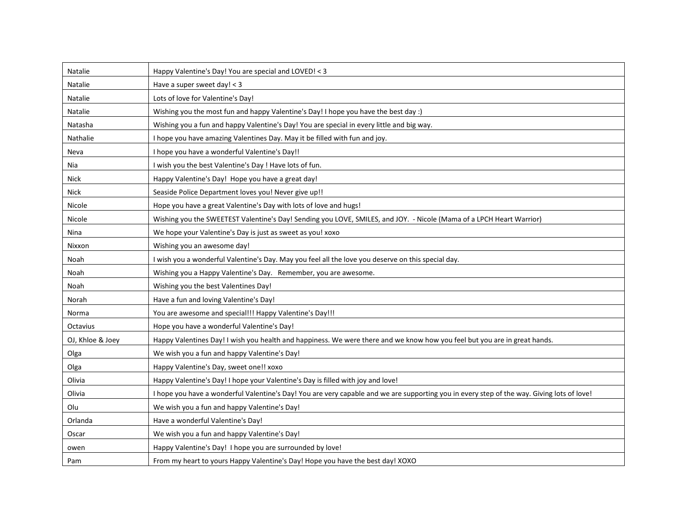| Natalie          | Happy Valentine's Day! You are special and LOVED! < 3                                                                                      |
|------------------|--------------------------------------------------------------------------------------------------------------------------------------------|
| Natalie          | Have a super sweet day! < 3                                                                                                                |
| Natalie          | Lots of love for Valentine's Day!                                                                                                          |
| Natalie          | Wishing you the most fun and happy Valentine's Day! I hope you have the best day :)                                                        |
| Natasha          | Wishing you a fun and happy Valentine's Day! You are special in every little and big way.                                                  |
| Nathalie         | I hope you have amazing Valentines Day. May it be filled with fun and joy.                                                                 |
| Neva             | I hope you have a wonderful Valentine's Day!!                                                                                              |
| Nia              | I wish you the best Valentine's Day ! Have lots of fun.                                                                                    |
| Nick             | Happy Valentine's Day! Hope you have a great day!                                                                                          |
| Nick             | Seaside Police Department loves you! Never give up!!                                                                                       |
| Nicole           | Hope you have a great Valentine's Day with lots of love and hugs!                                                                          |
| Nicole           | Wishing you the SWEETEST Valentine's Day! Sending you LOVE, SMILES, and JOY. - Nicole (Mama of a LPCH Heart Warrior)                       |
| Nina             | We hope your Valentine's Day is just as sweet as you! xoxo                                                                                 |
| Nixxon           | Wishing you an awesome day!                                                                                                                |
| Noah             | I wish you a wonderful Valentine's Day. May you feel all the love you deserve on this special day.                                         |
| Noah             | Wishing you a Happy Valentine's Day. Remember, you are awesome.                                                                            |
| Noah             | Wishing you the best Valentines Day!                                                                                                       |
| Norah            | Have a fun and loving Valentine's Day!                                                                                                     |
| Norma            | You are awesome and special!!! Happy Valentine's Day!!!                                                                                    |
| Octavius         | Hope you have a wonderful Valentine's Day!                                                                                                 |
| OJ, Khloe & Joey | Happy Valentines Day! I wish you health and happiness. We were there and we know how you feel but you are in great hands.                  |
| Olga             | We wish you a fun and happy Valentine's Day!                                                                                               |
| Olga             | Happy Valentine's Day, sweet one!! xoxo                                                                                                    |
| Olivia           | Happy Valentine's Day! I hope your Valentine's Day is filled with joy and love!                                                            |
| Olivia           | I hope you have a wonderful Valentine's Day! You are very capable and we are supporting you in every step of the way. Giving lots of love! |
| Olu              | We wish you a fun and happy Valentine's Day!                                                                                               |
| Orlanda          | Have a wonderful Valentine's Day!                                                                                                          |
| Oscar            | We wish you a fun and happy Valentine's Day!                                                                                               |
| owen             | Happy Valentine's Day! I hope you are surrounded by love!                                                                                  |
| Pam              | From my heart to yours Happy Valentine's Day! Hope you have the best day! XOXO                                                             |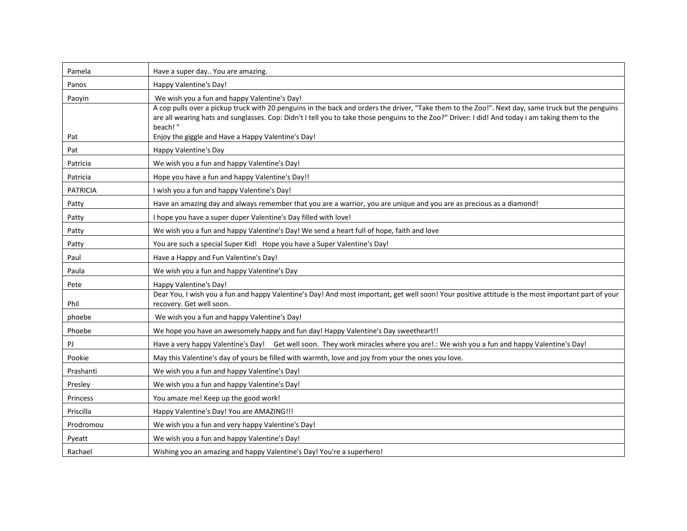| Pamela          | Have a super day You are amazing.                                                                                                                                                                                                                                                                                                                                 |
|-----------------|-------------------------------------------------------------------------------------------------------------------------------------------------------------------------------------------------------------------------------------------------------------------------------------------------------------------------------------------------------------------|
| Panos           | Happy Valentine's Day!                                                                                                                                                                                                                                                                                                                                            |
| Paoyin          | We wish you a fun and happy Valentine's Day!<br>A cop pulls over a pickup truck with 20 penguins in the back and orders the driver, "Take them to the Zoo!". Next day, same truck but the penguins<br>are all wearing hats and sunglasses. Cop: Didn't I tell you to take those penguins to the Zoo?" Driver: I did! And today i am taking them to the<br>beach!" |
| Pat             | Enjoy the giggle and Have a Happy Valentine's Day!                                                                                                                                                                                                                                                                                                                |
| Pat             | Happy Valentine's Day                                                                                                                                                                                                                                                                                                                                             |
| Patricia        | We wish you a fun and happy Valentine's Day!                                                                                                                                                                                                                                                                                                                      |
| Patricia        | Hope you have a fun and happy Valentine's Day!!                                                                                                                                                                                                                                                                                                                   |
| <b>PATRICIA</b> | I wish you a fun and happy Valentine's Day!                                                                                                                                                                                                                                                                                                                       |
| Patty           | Have an amazing day and always remember that you are a warrior, you are unique and you are as precious as a diamond!                                                                                                                                                                                                                                              |
| Patty           | I hope you have a super duper Valentine's Day filled with love!                                                                                                                                                                                                                                                                                                   |
| Patty           | We wish you a fun and happy Valentine's Day! We send a heart full of hope, faith and love                                                                                                                                                                                                                                                                         |
| Patty           | You are such a special Super Kid! Hope you have a Super Valentine's Day!                                                                                                                                                                                                                                                                                          |
| Paul            | Have a Happy and Fun Valentine's Day!                                                                                                                                                                                                                                                                                                                             |
| Paula           | We wish you a fun and happy Valentine's Day                                                                                                                                                                                                                                                                                                                       |
| Pete            | Happy Valentine's Day!                                                                                                                                                                                                                                                                                                                                            |
| Phil            | Dear You, I wish you a fun and happy Valentine's Day! And most important, get well soon! Your positive attitude is the most important part of your<br>recovery. Get well soon.                                                                                                                                                                                    |
| phoebe          | We wish you a fun and happy Valentine's Day!                                                                                                                                                                                                                                                                                                                      |
| Phoebe          | We hope you have an awesomely happy and fun day! Happy Valentine's Day sweetheart!!                                                                                                                                                                                                                                                                               |
| PJ              | Have a very happy Valentine's Day! Get well soon. They work miracles where you are!.: We wish you a fun and happy Valentine's Day!                                                                                                                                                                                                                                |
| Pookie          | May this Valentine's day of yours be filled with warmth, love and joy from your the ones you love.                                                                                                                                                                                                                                                                |
| Prashanti       | We wish you a fun and happy Valentine's Day!                                                                                                                                                                                                                                                                                                                      |
| Presley         | We wish you a fun and happy Valentine's Day!                                                                                                                                                                                                                                                                                                                      |
| Princess        | You amaze me! Keep up the good work!                                                                                                                                                                                                                                                                                                                              |
| Priscilla       | Happy Valentine's Day! You are AMAZING!!!                                                                                                                                                                                                                                                                                                                         |
| Prodromou       | We wish you a fun and very happy Valentine's Day!                                                                                                                                                                                                                                                                                                                 |
| Pyeatt          | We wish you a fun and happy Valentine's Day!                                                                                                                                                                                                                                                                                                                      |
| Rachael         | Wishing you an amazing and happy Valentine's Day! You're a superhero!                                                                                                                                                                                                                                                                                             |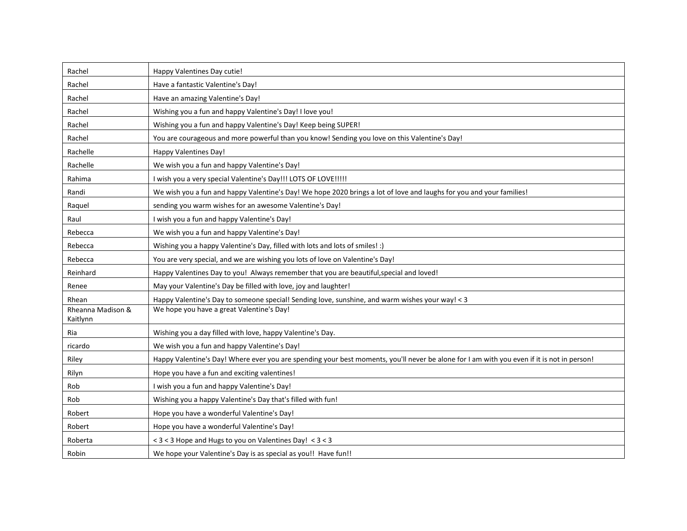| Rachel                        | Happy Valentines Day cutie!                                                                                                                |
|-------------------------------|--------------------------------------------------------------------------------------------------------------------------------------------|
| Rachel                        | Have a fantastic Valentine's Day!                                                                                                          |
| Rachel                        | Have an amazing Valentine's Day!                                                                                                           |
| Rachel                        | Wishing you a fun and happy Valentine's Day! I love you!                                                                                   |
| Rachel                        | Wishing you a fun and happy Valentine's Day! Keep being SUPER!                                                                             |
| Rachel                        | You are courageous and more powerful than you know! Sending you love on this Valentine's Day!                                              |
| Rachelle                      | Happy Valentines Day!                                                                                                                      |
| Rachelle                      | We wish you a fun and happy Valentine's Day!                                                                                               |
| Rahima                        | I wish you a very special Valentine's Day!!! LOTS OF LOVE!!!!!                                                                             |
| Randi                         | We wish you a fun and happy Valentine's Day! We hope 2020 brings a lot of love and laughs for you and your families!                       |
| Raquel                        | sending you warm wishes for an awesome Valentine's Day!                                                                                    |
| Raul                          | I wish you a fun and happy Valentine's Day!                                                                                                |
| Rebecca                       | We wish you a fun and happy Valentine's Day!                                                                                               |
| Rebecca                       | Wishing you a happy Valentine's Day, filled with lots and lots of smiles! :)                                                               |
| Rebecca                       | You are very special, and we are wishing you lots of love on Valentine's Day!                                                              |
| Reinhard                      | Happy Valentines Day to you! Always remember that you are beautiful, special and loved!                                                    |
| Renee                         | May your Valentine's Day be filled with love, joy and laughter!                                                                            |
| Rhean                         | Happy Valentine's Day to someone special! Sending love, sunshine, and warm wishes your way! < 3                                            |
| Rheanna Madison &<br>Kaitlynn | We hope you have a great Valentine's Day!                                                                                                  |
| Ria                           | Wishing you a day filled with love, happy Valentine's Day.                                                                                 |
| ricardo                       | We wish you a fun and happy Valentine's Day!                                                                                               |
| Riley                         | Happy Valentine's Day! Where ever you are spending your best moments, you'll never be alone for I am with you even if it is not in person! |
| Rilyn                         | Hope you have a fun and exciting valentines!                                                                                               |
| Rob                           | I wish you a fun and happy Valentine's Day!                                                                                                |
| Rob                           | Wishing you a happy Valentine's Day that's filled with fun!                                                                                |
| Robert                        | Hope you have a wonderful Valentine's Day!                                                                                                 |
| Robert                        | Hope you have a wonderful Valentine's Day!                                                                                                 |
| Roberta                       | < 3 < 3 Hope and Hugs to you on Valentines Day! < 3 < 3                                                                                    |
| Robin                         | We hope your Valentine's Day is as special as you!! Have fun!!                                                                             |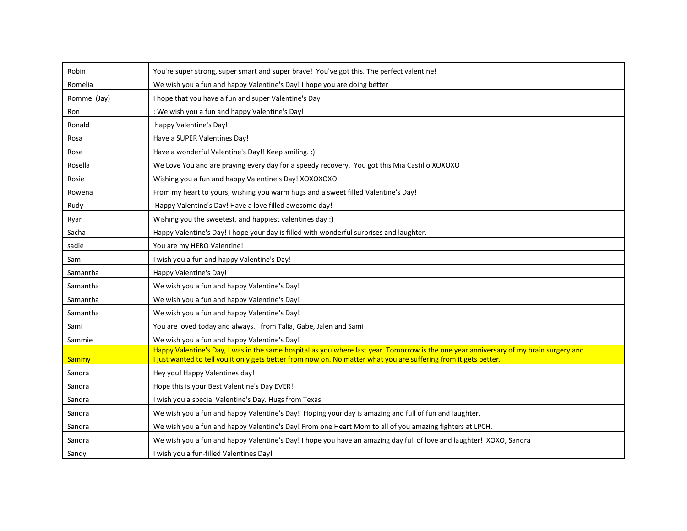| Robin        | You're super strong, super smart and super brave! You've got this. The perfect valentine!                                              |
|--------------|----------------------------------------------------------------------------------------------------------------------------------------|
| Romelia      | We wish you a fun and happy Valentine's Day! I hope you are doing better                                                               |
| Rommel (Jay) | I hope that you have a fun and super Valentine's Day                                                                                   |
| Ron          | : We wish you a fun and happy Valentine's Day!                                                                                         |
| Ronald       | happy Valentine's Day!                                                                                                                 |
| Rosa         | Have a SUPER Valentines Day!                                                                                                           |
| Rose         | Have a wonderful Valentine's Day!! Keep smiling. :)                                                                                    |
| Rosella      | We Love You and are praying every day for a speedy recovery. You got this Mia Castillo XOXOXO                                          |
| Rosie        | Wishing you a fun and happy Valentine's Day! XOXOXOXO                                                                                  |
| Rowena       | From my heart to yours, wishing you warm hugs and a sweet filled Valentine's Day!                                                      |
| Rudy         | Happy Valentine's Day! Have a love filled awesome day!                                                                                 |
| Ryan         | Wishing you the sweetest, and happiest valentines day :)                                                                               |
| Sacha        | Happy Valentine's Day! I hope your day is filled with wonderful surprises and laughter.                                                |
| sadie        | You are my HERO Valentine!                                                                                                             |
| Sam          | I wish you a fun and happy Valentine's Day!                                                                                            |
| Samantha     | Happy Valentine's Day!                                                                                                                 |
| Samantha     | We wish you a fun and happy Valentine's Day!                                                                                           |
| Samantha     | We wish you a fun and happy Valentine's Day!                                                                                           |
| Samantha     | We wish you a fun and happy Valentine's Day!                                                                                           |
| Sami         | You are loved today and always. from Talia, Gabe, Jalen and Sami                                                                       |
| Sammie       | We wish you a fun and happy Valentine's Day!                                                                                           |
|              | Happy Valentine's Day, I was in the same hospital as you where last year. Tomorrow is the one year anniversary of my brain surgery and |
| Sammy        | I just wanted to tell you it only gets better from now on. No matter what you are suffering from it gets better.                       |
| Sandra       | Hey you! Happy Valentines day!                                                                                                         |
| Sandra       | Hope this is your Best Valentine's Day EVER!                                                                                           |
| Sandra       | I wish you a special Valentine's Day. Hugs from Texas.                                                                                 |
| Sandra       | We wish you a fun and happy Valentine's Day! Hoping your day is amazing and full of fun and laughter.                                  |
| Sandra       | We wish you a fun and happy Valentine's Day! From one Heart Mom to all of you amazing fighters at LPCH.                                |
| Sandra       | We wish you a fun and happy Valentine's Day! I hope you have an amazing day full of love and laughter! XOXO, Sandra                    |
| Sandy        | I wish you a fun-filled Valentines Day!                                                                                                |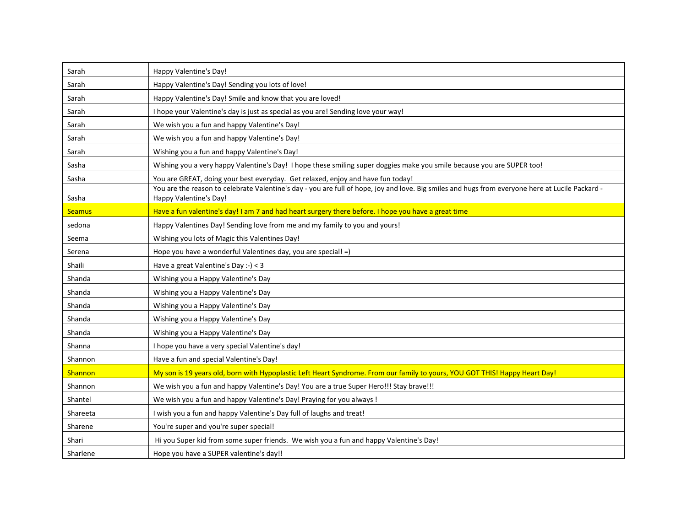| Sarah         | Happy Valentine's Day!                                                                                                                                                     |
|---------------|----------------------------------------------------------------------------------------------------------------------------------------------------------------------------|
| Sarah         | Happy Valentine's Day! Sending you lots of love!                                                                                                                           |
| Sarah         | Happy Valentine's Day! Smile and know that you are loved!                                                                                                                  |
| Sarah         | I hope your Valentine's day is just as special as you are! Sending love your way!                                                                                          |
| Sarah         | We wish you a fun and happy Valentine's Day!                                                                                                                               |
| Sarah         | We wish you a fun and happy Valentine's Day!                                                                                                                               |
| Sarah         | Wishing you a fun and happy Valentine's Day!                                                                                                                               |
| Sasha         | Wishing you a very happy Valentine's Day! I hope these smiling super doggies make you smile because you are SUPER too!                                                     |
| Sasha         | You are GREAT, doing your best everyday. Get relaxed, enjoy and have fun today!                                                                                            |
| Sasha         | You are the reason to celebrate Valentine's day - you are full of hope, joy and love. Big smiles and hugs from everyone here at Lucile Packard -<br>Happy Valentine's Day! |
| <b>Seamus</b> | Have a fun valentine's day! I am 7 and had heart surgery there before. I hope you have a great time                                                                        |
| sedona        | Happy Valentines Day! Sending love from me and my family to you and yours!                                                                                                 |
| Seema         | Wishing you lots of Magic this Valentines Day!                                                                                                                             |
| Serena        | Hope you have a wonderful Valentines day, you are special! =)                                                                                                              |
| Shaili        | Have a great Valentine's Day :-) < 3                                                                                                                                       |
| Shanda        | Wishing you a Happy Valentine's Day                                                                                                                                        |
| Shanda        | Wishing you a Happy Valentine's Day                                                                                                                                        |
| Shanda        | Wishing you a Happy Valentine's Day                                                                                                                                        |
| Shanda        | Wishing you a Happy Valentine's Day                                                                                                                                        |
| Shanda        | Wishing you a Happy Valentine's Day                                                                                                                                        |
| Shanna        | I hope you have a very special Valentine's day!                                                                                                                            |
| Shannon       | Have a fun and special Valentine's Day!                                                                                                                                    |
| Shannon       | My son is 19 years old, born with Hypoplastic Left Heart Syndrome. From our family to yours, YOU GOT THIS! Happy Heart Day!                                                |
| Shannon       | We wish you a fun and happy Valentine's Day! You are a true Super Hero!!! Stay brave!!!                                                                                    |
| Shantel       | We wish you a fun and happy Valentine's Day! Praying for you always !                                                                                                      |
| Shareeta      | I wish you a fun and happy Valentine's Day full of laughs and treat!                                                                                                       |
| Sharene       | You're super and you're super special!                                                                                                                                     |
| Shari         | Hi you Super kid from some super friends. We wish you a fun and happy Valentine's Day!                                                                                     |
| Sharlene      | Hope you have a SUPER valentine's day!!                                                                                                                                    |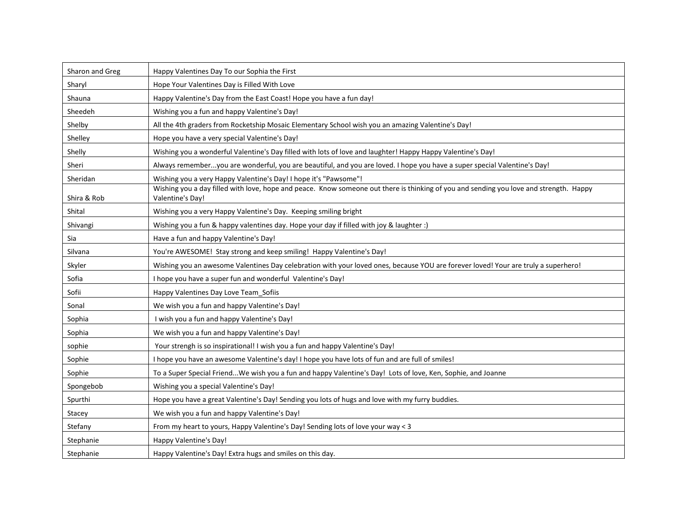| Sharon and Greg | Happy Valentines Day To our Sophia the First                                                                                                               |
|-----------------|------------------------------------------------------------------------------------------------------------------------------------------------------------|
| Sharyl          | Hope Your Valentines Day is Filled With Love                                                                                                               |
| Shauna          | Happy Valentine's Day from the East Coast! Hope you have a fun day!                                                                                        |
| Sheedeh         | Wishing you a fun and happy Valentine's Day!                                                                                                               |
| Shelby          | All the 4th graders from Rocketship Mosaic Elementary School wish you an amazing Valentine's Day!                                                          |
| Shelley         | Hope you have a very special Valentine's Day!                                                                                                              |
| Shelly          | Wishing you a wonderful Valentine's Day filled with lots of love and laughter! Happy Happy Valentine's Day!                                                |
| Sheri           | Always rememberyou are wonderful, you are beautiful, and you are loved. I hope you have a super special Valentine's Day!                                   |
| Sheridan        | Wishing you a very Happy Valentine's Day! I hope it's "Pawsome"!                                                                                           |
| Shira & Rob     | Wishing you a day filled with love, hope and peace. Know someone out there is thinking of you and sending you love and strength. Happy<br>Valentine's Day! |
| Shital          | Wishing you a very Happy Valentine's Day. Keeping smiling bright                                                                                           |
| Shivangi        | Wishing you a fun & happy valentines day. Hope your day if filled with joy & laughter :)                                                                   |
| Sia             | Have a fun and happy Valentine's Day!                                                                                                                      |
| Silvana         | You're AWESOME! Stay strong and keep smiling! Happy Valentine's Day!                                                                                       |
| Skyler          | Wishing you an awesome Valentines Day celebration with your loved ones, because YOU are forever loved! Your are truly a superhero!                         |
| Sofia           | I hope you have a super fun and wonderful Valentine's Day!                                                                                                 |
| Sofii           | Happy Valentines Day Love Team Sofiis                                                                                                                      |
| Sonal           | We wish you a fun and happy Valentine's Day!                                                                                                               |
| Sophia          | I wish you a fun and happy Valentine's Day!                                                                                                                |
| Sophia          | We wish you a fun and happy Valentine's Day!                                                                                                               |
| sophie          | Your strengh is so inspirational! I wish you a fun and happy Valentine's Day!                                                                              |
| Sophie          | I hope you have an awesome Valentine's day! I hope you have lots of fun and are full of smiles!                                                            |
| Sophie          | To a Super Special FriendWe wish you a fun and happy Valentine's Day! Lots of love, Ken, Sophie, and Joanne                                                |
| Spongebob       | Wishing you a special Valentine's Day!                                                                                                                     |
| Spurthi         | Hope you have a great Valentine's Day! Sending you lots of hugs and love with my furry buddies.                                                            |
| Stacey          | We wish you a fun and happy Valentine's Day!                                                                                                               |
| Stefany         | From my heart to yours, Happy Valentine's Day! Sending lots of love your way < 3                                                                           |
| Stephanie       | Happy Valentine's Day!                                                                                                                                     |
| Stephanie       | Happy Valentine's Day! Extra hugs and smiles on this day.                                                                                                  |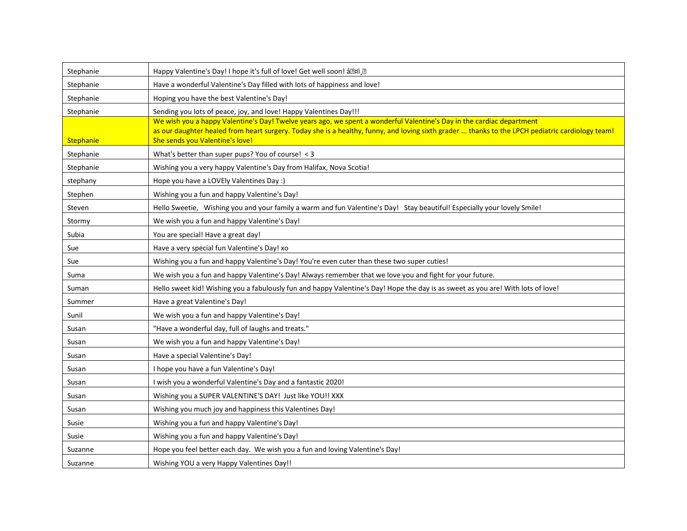| Stephanie        | Happy Valentine's Day! I hope it's full of love! Get well soon! â?xï .?                                                                                                                                                                                                                                      |
|------------------|--------------------------------------------------------------------------------------------------------------------------------------------------------------------------------------------------------------------------------------------------------------------------------------------------------------|
| Stephanie        | Have a wonderful Valentine's Day filled with lots of happiness and love!                                                                                                                                                                                                                                     |
| Stephanie        | Hoping you have the best Valentine's Day!                                                                                                                                                                                                                                                                    |
| Stephanie        | Sending you lots of peace, joy, and love! Happy Valentines Day!!!                                                                                                                                                                                                                                            |
| <b>Stephanie</b> | We wish you a happy Valentine's Day! Twelve years ago, we spent a wonderful Valentine's Day in the cardiac department<br>as our daughter healed from heart surgery. Today she is a healthy, funny, and loving sixth grader  thanks to the LPCH pediatric cardiology team!<br>She sends you Valentine's love! |
| Stephanie        | What's better than super pups? You of course! < 3                                                                                                                                                                                                                                                            |
| Stephanie        | Wishing you a very happy Valentine's Day from Halifax, Nova Scotia!                                                                                                                                                                                                                                          |
| stephany         | Hope you have a LOVEly Valentines Day :)                                                                                                                                                                                                                                                                     |
| Stephen          | Wishing you a fun and happy Valentine's Day!                                                                                                                                                                                                                                                                 |
| Steven           | Hello Sweetie, Wishing you and your family a warm and fun Valentine's Day! Stay beautiful! Especially your lovely Smile!                                                                                                                                                                                     |
| Stormy           | We wish you a fun and happy Valentine's Day!                                                                                                                                                                                                                                                                 |
| Subia            | You are special! Have a great day!                                                                                                                                                                                                                                                                           |
| Sue              | Have a very special fun Valentine's Day! xo                                                                                                                                                                                                                                                                  |
| Sue              | Wishing you a fun and happy Valentine's Day! You're even cuter than these two super cuties!                                                                                                                                                                                                                  |
| Suma             | We wish you a fun and happy Valentine's Day! Always remember that we love you and fight for your future.                                                                                                                                                                                                     |
| Suman            | Hello sweet kid! Wishing you a fabulously fun and happy Valentine's Day! Hope the day is as sweet as you are! With lots of love!                                                                                                                                                                             |
| Summer           | Have a great Valentine's Day!                                                                                                                                                                                                                                                                                |
| Sunil            | We wish you a fun and happy Valentine's Day!                                                                                                                                                                                                                                                                 |
| Susan            | "Have a wonderful day, full of laughs and treats."                                                                                                                                                                                                                                                           |
| Susan            | We wish you a fun and happy Valentine's Day!                                                                                                                                                                                                                                                                 |
| Susan            | Have a special Valentine's Day!                                                                                                                                                                                                                                                                              |
| Susan            | I hope you have a fun Valentine's Day!                                                                                                                                                                                                                                                                       |
| Susan            | I wish you a wonderful Valentine's Day and a fantastic 2020!                                                                                                                                                                                                                                                 |
| Susan            | Wishing you a SUPER VALENTINE'S DAY! Just like YOU!! XXX                                                                                                                                                                                                                                                     |
| Susan            | Wishing you much joy and happiness this Valentines Day!                                                                                                                                                                                                                                                      |
| Susie            | Wishing you a fun and happy Valentine's Day!                                                                                                                                                                                                                                                                 |
| Susie            | Wishing you a fun and happy Valentine's Day!                                                                                                                                                                                                                                                                 |
| Suzanne          | Hope you feel better each day. We wish you a fun and loving Valentine's Day!                                                                                                                                                                                                                                 |
| Suzanne          | Wishing YOU a very Happy Valentines Day!!                                                                                                                                                                                                                                                                    |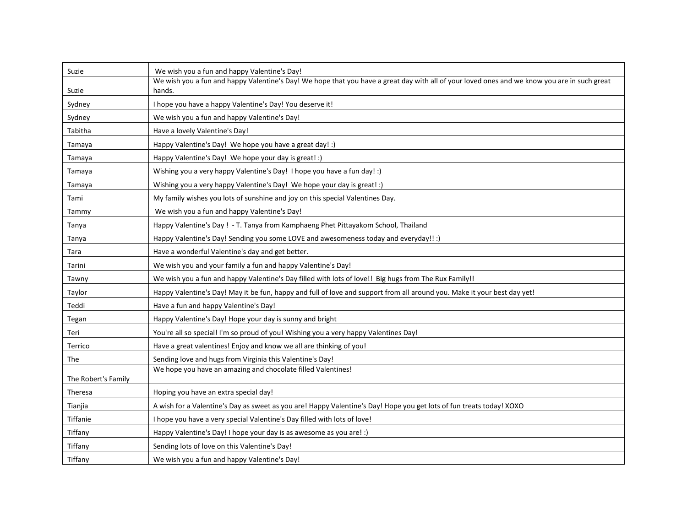| Suzie               | We wish you a fun and happy Valentine's Day!                                                                                                 |
|---------------------|----------------------------------------------------------------------------------------------------------------------------------------------|
|                     | We wish you a fun and happy Valentine's Day! We hope that you have a great day with all of your loved ones and we know you are in such great |
| Suzie               | hands.                                                                                                                                       |
| Sydney              | I hope you have a happy Valentine's Day! You deserve it!                                                                                     |
| Sydney              | We wish you a fun and happy Valentine's Day!                                                                                                 |
| Tabitha             | Have a lovely Valentine's Day!                                                                                                               |
| Tamaya              | Happy Valentine's Day! We hope you have a great day! :)                                                                                      |
| Tamaya              | Happy Valentine's Day! We hope your day is great! :)                                                                                         |
| Tamaya              | Wishing you a very happy Valentine's Day! I hope you have a fun day! :)                                                                      |
| Tamaya              | Wishing you a very happy Valentine's Day! We hope your day is great! :)                                                                      |
| Tami                | My family wishes you lots of sunshine and joy on this special Valentines Day.                                                                |
| Tammy               | We wish you a fun and happy Valentine's Day!                                                                                                 |
| Tanya               | Happy Valentine's Day ! - T. Tanya from Kamphaeng Phet Pittayakom School, Thailand                                                           |
| Tanya               | Happy Valentine's Day! Sending you some LOVE and awesomeness today and everyday!! :)                                                         |
| Tara                | Have a wonderful Valentine's day and get better.                                                                                             |
| Tarini              | We wish you and your family a fun and happy Valentine's Day!                                                                                 |
| Tawny               | We wish you a fun and happy Valentine's Day filled with lots of love!! Big hugs from The Rux Family!!                                        |
| Taylor              | Happy Valentine's Day! May it be fun, happy and full of love and support from all around you. Make it your best day yet!                     |
| Teddi               | Have a fun and happy Valentine's Day!                                                                                                        |
| Tegan               | Happy Valentine's Day! Hope your day is sunny and bright                                                                                     |
| Teri                | You're all so special! I'm so proud of you! Wishing you a very happy Valentines Day!                                                         |
| Terrico             | Have a great valentines! Enjoy and know we all are thinking of you!                                                                          |
| The                 | Sending love and hugs from Virginia this Valentine's Day!                                                                                    |
|                     | We hope you have an amazing and chocolate filled Valentines!                                                                                 |
| The Robert's Family |                                                                                                                                              |
| Theresa             | Hoping you have an extra special day!                                                                                                        |
| Tianjia             | A wish for a Valentine's Day as sweet as you are! Happy Valentine's Day! Hope you get lots of fun treats today! XOXO                         |
| Tiffanie            | I hope you have a very special Valentine's Day filled with lots of love!                                                                     |
| Tiffany             | Happy Valentine's Day! I hope your day is as awesome as you are! :)                                                                          |
| Tiffany             | Sending lots of love on this Valentine's Day!                                                                                                |
| Tiffany             | We wish you a fun and happy Valentine's Day!                                                                                                 |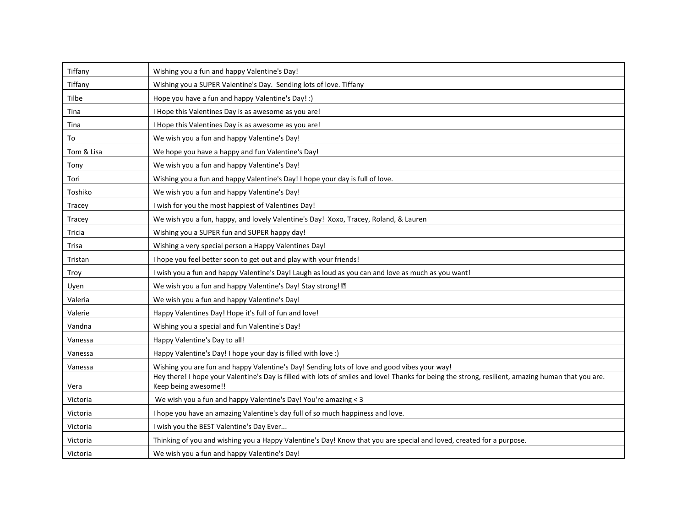| Tiffany    | Wishing you a fun and happy Valentine's Day!                                                                                                       |
|------------|----------------------------------------------------------------------------------------------------------------------------------------------------|
| Tiffany    | Wishing you a SUPER Valentine's Day. Sending lots of love. Tiffany                                                                                 |
| Tilbe      | Hope you have a fun and happy Valentine's Day! :)                                                                                                  |
| Tina       | I Hope this Valentines Day is as awesome as you are!                                                                                               |
| Tina       | I Hope this Valentines Day is as awesome as you are!                                                                                               |
| To         | We wish you a fun and happy Valentine's Day!                                                                                                       |
| Tom & Lisa | We hope you have a happy and fun Valentine's Day!                                                                                                  |
| Tony       | We wish you a fun and happy Valentine's Day!                                                                                                       |
| Tori       | Wishing you a fun and happy Valentine's Day! I hope your day is full of love.                                                                      |
| Toshiko    | We wish you a fun and happy Valentine's Day!                                                                                                       |
| Tracey     | I wish for you the most happiest of Valentines Day!                                                                                                |
| Tracey     | We wish you a fun, happy, and lovely Valentine's Day! Xoxo, Tracey, Roland, & Lauren                                                               |
| Tricia     | Wishing you a SUPER fun and SUPER happy day!                                                                                                       |
| Trisa      | Wishing a very special person a Happy Valentines Day!                                                                                              |
| Tristan    | I hope you feel better soon to get out and play with your friends!                                                                                 |
| Troy       | I wish you a fun and happy Valentine's Day! Laugh as loud as you can and love as much as you want!                                                 |
| Uyen       | We wish you a fun and happy Valentine's Day! Stay strong!!?                                                                                        |
| Valeria    | We wish you a fun and happy Valentine's Day!                                                                                                       |
| Valerie    | Happy Valentines Day! Hope it's full of fun and love!                                                                                              |
| Vandna     | Wishing you a special and fun Valentine's Day!                                                                                                     |
| Vanessa    | Happy Valentine's Day to all!                                                                                                                      |
| Vanessa    | Happy Valentine's Day! I hope your day is filled with love :)                                                                                      |
| Vanessa    | Wishing you are fun and happy Valentine's Day! Sending lots of love and good vibes your way!                                                       |
|            | Hey there! I hope your Valentine's Day is filled with lots of smiles and love! Thanks for being the strong, resilient, amazing human that you are. |
| Vera       | Keep being awesome!!                                                                                                                               |
| Victoria   | We wish you a fun and happy Valentine's Day! You're amazing < 3                                                                                    |
| Victoria   | I hope you have an amazing Valentine's day full of so much happiness and love.                                                                     |
| Victoria   | I wish you the BEST Valentine's Day Ever                                                                                                           |
| Victoria   | Thinking of you and wishing you a Happy Valentine's Day! Know that you are special and loved, created for a purpose.                               |
| Victoria   | We wish you a fun and happy Valentine's Day!                                                                                                       |